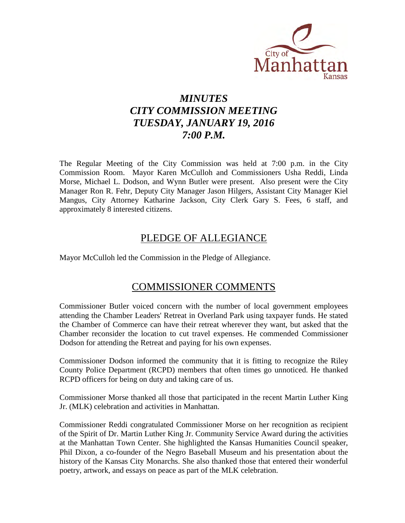

# *MINUTES CITY COMMISSION MEETING TUESDAY, JANUARY 19, 2016 7:00 P.M.*

The Regular Meeting of the City Commission was held at 7:00 p.m. in the City Commission Room. Mayor Karen McCulloh and Commissioners Usha Reddi, Linda Morse, Michael L. Dodson, and Wynn Butler were present. Also present were the City Manager Ron R. Fehr, Deputy City Manager Jason Hilgers, Assistant City Manager Kiel Mangus, City Attorney Katharine Jackson, City Clerk Gary S. Fees, 6 staff, and approximately 8 interested citizens.

# PLEDGE OF ALLEGIANCE

Mayor McCulloh led the Commission in the Pledge of Allegiance.

# COMMISSIONER COMMENTS

Commissioner Butler voiced concern with the number of local government employees attending the Chamber Leaders' Retreat in Overland Park using taxpayer funds. He stated the Chamber of Commerce can have their retreat wherever they want, but asked that the Chamber reconsider the location to cut travel expenses. He commended Commissioner Dodson for attending the Retreat and paying for his own expenses.

Commissioner Dodson informed the community that it is fitting to recognize the Riley County Police Department (RCPD) members that often times go unnoticed. He thanked RCPD officers for being on duty and taking care of us.

Commissioner Morse thanked all those that participated in the recent Martin Luther King Jr. (MLK) celebration and activities in Manhattan.

Commissioner Reddi congratulated Commissioner Morse on her recognition as recipient of the Spirit of Dr. Martin Luther King Jr. Community Service Award during the activities at the Manhattan Town Center. She highlighted the Kansas Humanities Council speaker, Phil Dixon, a co-founder of the Negro Baseball Museum and his presentation about the history of the Kansas City Monarchs. She also thanked those that entered their wonderful poetry, artwork, and essays on peace as part of the MLK celebration.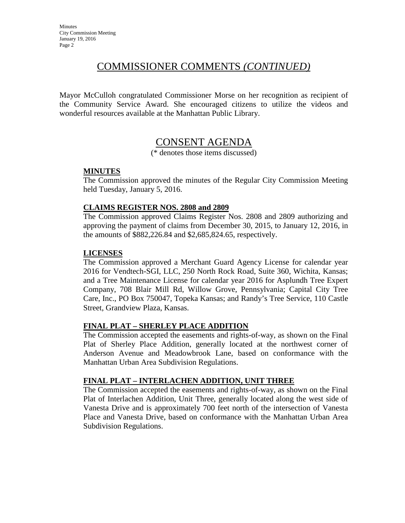# COMMISSIONER COMMENTS *(CONTINUED)*

Mayor McCulloh congratulated Commissioner Morse on her recognition as recipient of the Community Service Award. She encouraged citizens to utilize the videos and wonderful resources available at the Manhattan Public Library.

# CONSENT AGENDA

(\* denotes those items discussed)

## **MINUTES**

The Commission approved the minutes of the Regular City Commission Meeting held Tuesday, January 5, 2016.

## **CLAIMS REGISTER NOS. 2808 and 2809**

The Commission approved Claims Register Nos. 2808 and 2809 authorizing and approving the payment of claims from December 30, 2015, to January 12, 2016, in the amounts of \$882,226.84 and \$2,685,824.65, respectively.

## **LICENSES**

The Commission approved a Merchant Guard Agency License for calendar year 2016 for Vendtech-SGI, LLC, 250 North Rock Road, Suite 360, Wichita, Kansas; and a Tree Maintenance License for calendar year 2016 for Asplundh Tree Expert Company, 708 Blair Mill Rd, Willow Grove, Pennsylvania; Capital City Tree Care, Inc., PO Box 750047, Topeka Kansas; and Randy's Tree Service, 110 Castle Street, Grandview Plaza, Kansas.

## **FINAL PLAT – SHERLEY PLACE ADDITION**

The Commission accepted the easements and rights-of-way, as shown on the Final Plat of Sherley Place Addition, generally located at the northwest corner of Anderson Avenue and Meadowbrook Lane, based on conformance with the Manhattan Urban Area Subdivision Regulations.

## **FINAL PLAT – INTERLACHEN ADDITION, UNIT THREE**

The Commission accepted the easements and rights-of-way, as shown on the Final Plat of Interlachen Addition, Unit Three, generally located along the west side of Vanesta Drive and is approximately 700 feet north of the intersection of Vanesta Place and Vanesta Drive, based on conformance with the Manhattan Urban Area Subdivision Regulations.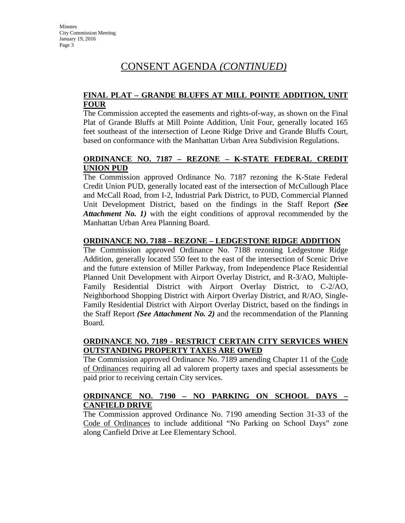### **FINAL PLAT – GRANDE BLUFFS AT MILL POINTE ADDITION, UNIT FOUR**

The Commission accepted the easements and rights-of-way, as shown on the Final Plat of Grande Bluffs at Mill Pointe Addition, Unit Four, generally located 165 feet southeast of the intersection of Leone Ridge Drive and Grande Bluffs Court, based on conformance with the Manhattan Urban Area Subdivision Regulations.

## **ORDINANCE NO. 7187 – REZONE – K-STATE FEDERAL CREDIT UNION PUD**

The Commission approved Ordinance No. 7187 rezoning the K-State Federal Credit Union PUD, generally located east of the intersection of McCullough Place and McCall Road, from I-2, Industrial Park District, to PUD, Commercial Planned Unit Development District, based on the findings in the Staff Report *(See Attachment No. 1)* with the eight conditions of approval recommended by the Manhattan Urban Area Planning Board.

## **ORDINANCE NO. 7188 – REZONE – LEDGESTONE RIDGE ADDITION**

The Commission approved Ordinance No. 7188 rezoning Ledgestone Ridge Addition, generally located 550 feet to the east of the intersection of Scenic Drive and the future extension of Miller Parkway, from Independence Place Residential Planned Unit Development with Airport Overlay District, and R-3/AO, Multiple-Family Residential District with Airport Overlay District, to C-2/AO, Neighborhood Shopping District with Airport Overlay District, and R/AO, Single-Family Residential District with Airport Overlay District, based on the findings in the Staff Report *(See Attachment No. 2)* and the recommendation of the Planning Board.

## **ORDINANCE NO. 7189 - RESTRICT CERTAIN CITY SERVICES WHEN OUTSTANDING PROPERTY TAXES ARE OWED**

The Commission approved Ordinance No. 7189 amending Chapter 11 of the Code of Ordinances requiring all ad valorem property taxes and special assessments be paid prior to receiving certain City services.

## **ORDINANCE NO. 7190 – NO PARKING ON SCHOOL DAYS – CANFIELD DRIVE**

The Commission approved Ordinance No. 7190 amending Section 31-33 of the Code of Ordinances to include additional "No Parking on School Days" zone along Canfield Drive at Lee Elementary School.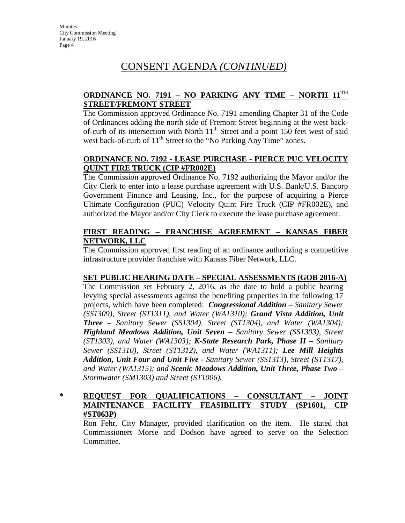## **ORDINANCE NO. 7191 – NO PARKING ANY TIME – NORTH 11TH STREET/FREMONT STREET**

The Commission approved Ordinance No. 7191 amending Chapter 31 of the Code of Ordinances adding the north side of Fremont Street beginning at the west backof-curb of its intersection with North  $11<sup>th</sup>$  Street and a point 150 feet west of said west back-of-curb of  $11<sup>th</sup>$  Street to the "No Parking Any Time" zones.

## **ORDINANCE NO. 7192 - LEASE PURCHASE - PIERCE PUC VELOCITY QUINT FIRE TRUCK (CIP #FR002E)**

The Commission approved Ordinance No. 7192 authorizing the Mayor and/or the City Clerk to enter into a lease purchase agreement with U.S. Bank/U.S. Bancorp Government Finance and Leasing, Inc., for the purpose of acquiring a Pierce Ultimate Configuration (PUC) Velocity Quint Fire Truck (CIP #FR002E), and authorized the Mayor and/or City Clerk to execute the lease purchase agreement.

## **FIRST READING – FRANCHISE AGREEMENT – KANSAS FIBER NETWORK, LLC**

The Commission approved first reading of an ordinance authorizing a competitive infrastructure provider franchise with Kansas Fiber Network, LLC.

## **SET PUBLIC HEARING DATE – SPECIAL ASSESSMENTS (GOB 2016-A)**

The Commission set February 2, 2016, as the date to hold a public hearing levying special assessments against the benefiting properties in the following 17 projects, which have been completed: *Congressional Addition – Sanitary Sewer (SS1309), Street (ST1311), and Water (WA1310); Grand Vista Addition, Unit Three – Sanitary Sewer (SS1304), Street (ST1304), and Water (WA1304); Highland Meadows Addition, Unit Seven – Sanitary Sewer (SS1303), Street (ST1303), and Water (WA1303); K-State Research Park, Phase II – Sanitary Sewer (SS1310), Street (ST1312), and Water (WA1311); Lee Mill Heights Addition, Unit Four and Unit Five - Sanitary Sewer (SS1313), Street (ST1317), and Water (WA1315); and Scenic Meadows Addition, Unit Three, Phase Two – Stormwater (SM1303) and Street (ST1006).* 

## **\* REQUEST FOR QUALIFICATIONS – CONSULTANT – JOINT MAINTENANCE FACILITY FEASIBILITY STUDY (SP1601, CIP #ST063P)**

Ron Fehr, City Manager, provided clarification on the item. He stated that Commissioners Morse and Dodson have agreed to serve on the Selection Committee.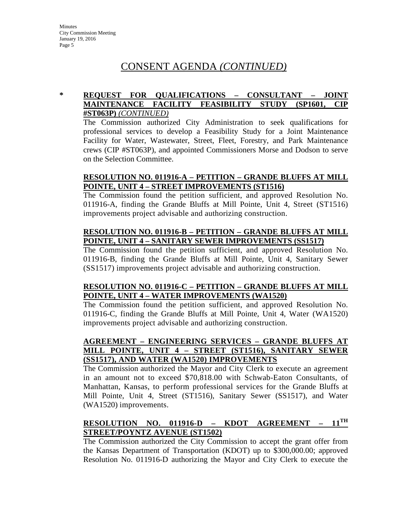## **\* REQUEST FOR QUALIFICATIONS – CONSULTANT – JOINT MAINTENANCE FACILITY FEASIBILITY STUDY (SP1601, CIP #ST063P)** *(CONTINUED)*

The Commission authorized City Administration to seek qualifications for professional services to develop a Feasibility Study for a Joint Maintenance Facility for Water, Wastewater, Street, Fleet, Forestry, and Park Maintenance crews (CIP #ST063P), and appointed Commissioners Morse and Dodson to serve on the Selection Committee.

## **RESOLUTION NO. 011916-A – PETITION – GRANDE BLUFFS AT MILL POINTE, UNIT 4 – STREET IMPROVEMENTS (ST1516)**

The Commission found the petition sufficient, and approved Resolution No. 011916-A, finding the Grande Bluffs at Mill Pointe, Unit 4, Street (ST1516) improvements project advisable and authorizing construction.

#### **RESOLUTION NO. 011916-B – PETITION – GRANDE BLUFFS AT MILL POINTE, UNIT 4 – SANITARY SEWER IMPROVEMENTS (SS1517)**

The Commission found the petition sufficient, and approved Resolution No. 011916-B, finding the Grande Bluffs at Mill Pointe, Unit 4, Sanitary Sewer (SS1517) improvements project advisable and authorizing construction.

## **RESOLUTION NO. 011916-C – PETITION – GRANDE BLUFFS AT MILL POINTE, UNIT 4 – WATER IMPROVEMENTS (WA1520)**

The Commission found the petition sufficient, and approved Resolution No. 011916-C, finding the Grande Bluffs at Mill Pointe, Unit 4, Water (WA1520) improvements project advisable and authorizing construction.

## **AGREEMENT – ENGINEERING SERVICES – GRANDE BLUFFS AT MILL POINTE, UNIT 4 – STREET (ST1516), SANITARY SEWER (SS1517), AND WATER (WA1520) IMPROVEMENTS**

The Commission authorized the Mayor and City Clerk to execute an agreement in an amount not to exceed \$70,818.00 with Schwab-Eaton Consultants, of Manhattan, Kansas, to perform professional services for the Grande Bluffs at Mill Pointe, Unit 4, Street (ST1516), Sanitary Sewer (SS1517), and Water (WA1520) improvements.

## **RESOLUTION NO. 011916-D – KDOT AGREEMENT – 11TH STREET/POYNTZ AVENUE (ST1502)**

The Commission authorized the City Commission to accept the grant offer from the Kansas Department of Transportation (KDOT) up to \$300,000.00; approved Resolution No. 011916-D authorizing the Mayor and City Clerk to execute the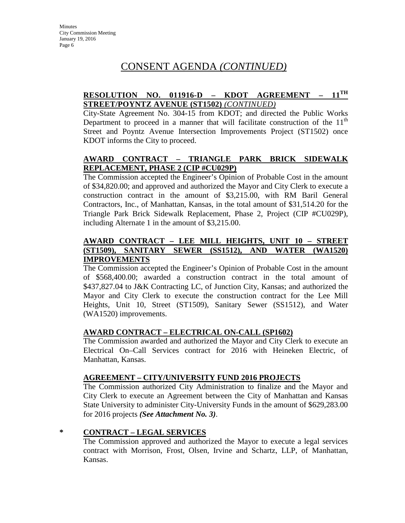## **RESOLUTION NO. 011916-D – KDOT AGREEMENT – 11TH STREET/POYNTZ AVENUE (ST1502)** *(CONTINUED)*

City-State Agreement No. 304-15 from KDOT; and directed the Public Works Department to proceed in a manner that will facilitate construction of the  $11<sup>th</sup>$ Street and Poyntz Avenue Intersection Improvements Project (ST1502) once KDOT informs the City to proceed.

## **AWARD CONTRACT – TRIANGLE PARK BRICK SIDEWALK REPLACEMENT, PHASE 2 (CIP #CU029P)**

The Commission accepted the Engineer's Opinion of Probable Cost in the amount of \$34,820.00; and approved and authorized the Mayor and City Clerk to execute a construction contract in the amount of \$3,215.00, with RM Baril General Contractors, Inc., of Manhattan, Kansas, in the total amount of \$31,514.20 for the Triangle Park Brick Sidewalk Replacement, Phase 2, Project (CIP #CU029P), including Alternate 1 in the amount of \$3,215.00.

## **AWARD CONTRACT – LEE MILL HEIGHTS, UNIT 10 – STREET (ST1509), SANITARY SEWER (SS1512), AND WATER (WA1520) IMPROVEMENTS**

The Commission accepted the Engineer's Opinion of Probable Cost in the amount of \$568,400.00; awarded a construction contract in the total amount of \$437,827.04 to J&K Contracting LC, of Junction City, Kansas; and authorized the Mayor and City Clerk to execute the construction contract for the Lee Mill Heights, Unit 10, Street (ST1509), Sanitary Sewer (SS1512), and Water (WA1520) improvements.

## **AWARD CONTRACT – ELECTRICAL ON-CALL (SP1602)**

The Commission awarded and authorized the Mayor and City Clerk to execute an Electrical On–Call Services contract for 2016 with Heineken Electric, of Manhattan, Kansas.

#### **AGREEMENT – CITY/UNIVERSITY FUND 2016 PROJECTS**

The Commission authorized City Administration to finalize and the Mayor and City Clerk to execute an Agreement between the City of Manhattan and Kansas State University to administer City-University Funds in the amount of \$629,283.00 for 2016 projects *(See Attachment No. 3)*.

## **\* CONTRACT – LEGAL SERVICES**

The Commission approved and authorized the Mayor to execute a legal services contract with Morrison, Frost, Olsen, Irvine and Schartz, LLP, of Manhattan, Kansas.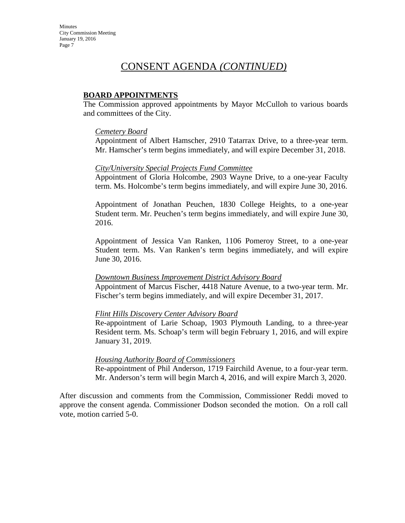### **BOARD APPOINTMENTS**

The Commission approved appointments by Mayor McCulloh to various boards and committees of the City.

#### *Cemetery Board*

Appointment of Albert Hamscher, 2910 Tatarrax Drive, to a three-year term. Mr. Hamscher's term begins immediately, and will expire December 31, 2018.

#### *City/University Special Projects Fund Committee*

Appointment of Gloria Holcombe, 2903 Wayne Drive, to a one-year Faculty term. Ms. Holcombe's term begins immediately, and will expire June 30, 2016.

Appointment of Jonathan Peuchen, 1830 College Heights, to a one-year Student term. Mr. Peuchen's term begins immediately, and will expire June 30, 2016.

Appointment of Jessica Van Ranken, 1106 Pomeroy Street, to a one-year Student term. Ms. Van Ranken's term begins immediately, and will expire June 30, 2016.

#### *Downtown Business Improvement District Advisory Board*

Appointment of Marcus Fischer, 4418 Nature Avenue, to a two-year term. Mr. Fischer's term begins immediately, and will expire December 31, 2017.

#### *Flint Hills Discovery Center Advisory Board*

Re-appointment of Larie Schoap, 1903 Plymouth Landing, to a three-year Resident term. Ms. Schoap's term will begin February 1, 2016, and will expire January 31, 2019.

#### *Housing Authority Board of Commissioners*

Re-appointment of Phil Anderson, 1719 Fairchild Avenue, to a four-year term. Mr. Anderson's term will begin March 4, 2016, and will expire March 3, 2020.

After discussion and comments from the Commission, Commissioner Reddi moved to approve the consent agenda. Commissioner Dodson seconded the motion. On a roll call vote, motion carried 5-0.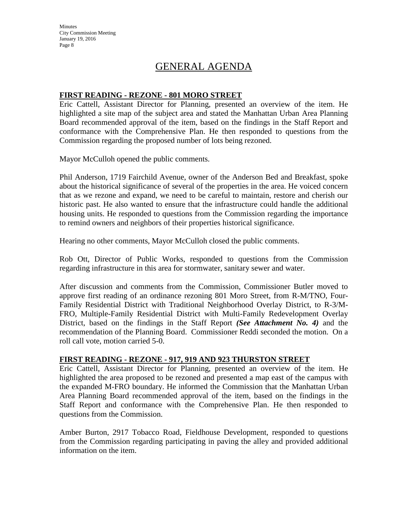**Minutes** City Commission Meeting January 19, 2016 Page 8

# GENERAL AGENDA

#### **FIRST READING - REZONE - 801 MORO STREET**

Eric Cattell, Assistant Director for Planning, presented an overview of the item. He highlighted a site map of the subject area and stated the Manhattan Urban Area Planning Board recommended approval of the item, based on the findings in the Staff Report and conformance with the Comprehensive Plan. He then responded to questions from the Commission regarding the proposed number of lots being rezoned.

Mayor McCulloh opened the public comments.

Phil Anderson, 1719 Fairchild Avenue, owner of the Anderson Bed and Breakfast, spoke about the historical significance of several of the properties in the area. He voiced concern that as we rezone and expand, we need to be careful to maintain, restore and cherish our historic past. He also wanted to ensure that the infrastructure could handle the additional housing units. He responded to questions from the Commission regarding the importance to remind owners and neighbors of their properties historical significance.

Hearing no other comments, Mayor McCulloh closed the public comments.

Rob Ott, Director of Public Works, responded to questions from the Commission regarding infrastructure in this area for stormwater, sanitary sewer and water.

After discussion and comments from the Commission, Commissioner Butler moved to approve first reading of an ordinance rezoning 801 Moro Street, from R-M/TNO, Four-Family Residential District with Traditional Neighborhood Overlay District, to R-3/M-FRO, Multiple-Family Residential District with Multi-Family Redevelopment Overlay District, based on the findings in the Staff Report *(See Attachment No. 4)* and the recommendation of the Planning Board. Commissioner Reddi seconded the motion. On a roll call vote, motion carried 5-0.

#### **FIRST READING - REZONE - 917, 919 AND 923 THURSTON STREET**

Eric Cattell, Assistant Director for Planning, presented an overview of the item. He highlighted the area proposed to be rezoned and presented a map east of the campus with the expanded M-FRO boundary. He informed the Commission that the Manhattan Urban Area Planning Board recommended approval of the item, based on the findings in the Staff Report and conformance with the Comprehensive Plan. He then responded to questions from the Commission.

Amber Burton, 2917 Tobacco Road, Fieldhouse Development, responded to questions from the Commission regarding participating in paving the alley and provided additional information on the item.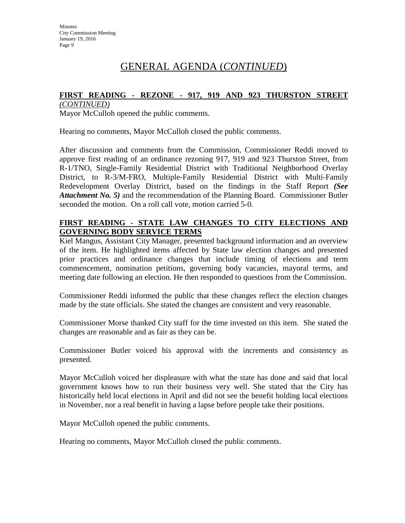# GENERAL AGENDA (*CONTINUED*)

## **FIRST READING - REZONE - 917, 919 AND 923 THURSTON STREET**

*(CONTINUED)*

Mayor McCulloh opened the public comments.

Hearing no comments, Mayor McCulloh closed the public comments.

After discussion and comments from the Commission, Commissioner Reddi moved to approve first reading of an ordinance rezoning 917, 919 and 923 Thurston Street, from R-1/TNO, Single-Family Residential District with Traditional Neighborhood Overlay District, to R-3/M-FRO, Multiple-Family Residential District with Multi-Family Redevelopment Overlay District, based on the findings in the Staff Report *(See Attachment No. 5)* and the recommendation of the Planning Board. Commissioner Butler seconded the motion. On a roll call vote, motion carried 5-0.

## **FIRST READING - STATE LAW CHANGES TO CITY ELECTIONS AND GOVERNING BODY SERVICE TERMS**

Kiel Mangus, Assistant City Manager, presented background information and an overview of the item. He highlighted items affected by State law election changes and presented prior practices and ordinance changes that include timing of elections and term commencement, nomination petitions, governing body vacancies, mayoral terms, and meeting date following an election. He then responded to questions from the Commission.

Commissioner Reddi informed the public that these changes reflect the election changes made by the state officials. She stated the changes are consistent and very reasonable.

Commissioner Morse thanked City staff for the time invested on this item. She stated the changes are reasonable and as fair as they can be.

Commissioner Butler voiced his approval with the increments and consistency as presented.

Mayor McCulloh voiced her displeasure with what the state has done and said that local government knows how to run their business very well. She stated that the City has historically held local elections in April and did not see the benefit holding local elections in November, nor a real benefit in having a lapse before people take their positions.

Mayor McCulloh opened the public comments.

Hearing no comments, Mayor McCulloh closed the public comments.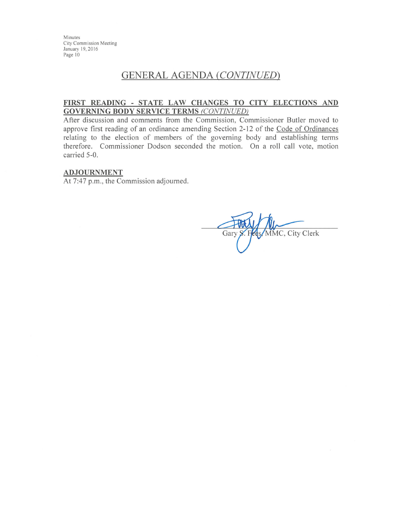Minutes City Commission Meeting January 19, 2016 Page 10

# **GENERAL AGENDA (CONTINUED)**

#### FIRST READING - STATE LAW CHANGES TO CITY ELECTIONS AND **GOVERNING BODY SERVICE TERMS (CONTINUED)**

After discussion and comments from the Commission, Commissioner Butler moved to approve first reading of an ordinance amending Section 2-12 of the Code of Ordinances relating to the election of members of the governing body and establishing terms therefore. Commissioner Dodson seconded the motion. On a roll call vote, motion carried 5-0.

#### **ADJOURNMENT**

At 7:47 p.m., the Commission adjourned.

MMC, City Clerk Gary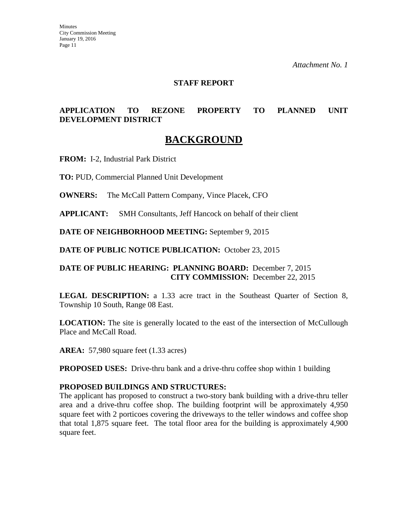### **STAFF REPORT**

## **APPLICATION TO REZONE PROPERTY TO PLANNED UNIT DEVELOPMENT DISTRICT**

# **BACKGROUND**

**FROM:** I-2, Industrial Park District

**TO:** PUD, Commercial Planned Unit Development

**OWNERS:** The McCall Pattern Company, Vince Placek, CFO

**APPLICANT:** SMH Consultants, Jeff Hancock on behalf of their client

**DATE OF NEIGHBORHOOD MEETING:** September 9, 2015

**DATE OF PUBLIC NOTICE PUBLICATION:** October 23, 2015

#### **DATE OF PUBLIC HEARING: PLANNING BOARD:** December 7, 2015 **CITY COMMISSION:** December 22, 2015

**LEGAL DESCRIPTION:** a 1.33 acre tract in the Southeast Quarter of Section 8, Township 10 South, Range 08 East.

**LOCATION:** The site is generally located to the east of the intersection of McCullough Place and McCall Road.

**AREA:** 57,980 square feet (1.33 acres)

**PROPOSED USES:** Drive-thru bank and a drive-thru coffee shop within 1 building

#### **PROPOSED BUILDINGS AND STRUCTURES:**

The applicant has proposed to construct a two-story bank building with a drive-thru teller area and a drive-thru coffee shop. The building footprint will be approximately 4,950 square feet with 2 porticoes covering the driveways to the teller windows and coffee shop that total 1,875 square feet. The total floor area for the building is approximately 4,900 square feet.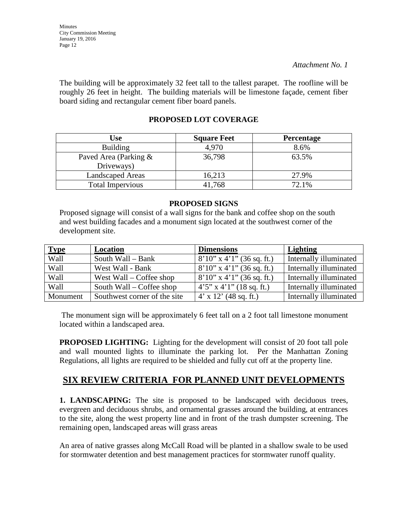The building will be approximately 32 feet tall to the tallest parapet. The roofline will be roughly 26 feet in height. The building materials will be limestone façade, cement fiber board siding and rectangular cement fiber board panels.

# **PROPOSED LOT COVERAGE**

| <b>Use</b>                          | <b>Square Feet</b> | <b>Percentage</b> |
|-------------------------------------|--------------------|-------------------|
| <b>Building</b>                     | 4,970              | 8.6%              |
| Paved Area (Parking &<br>Driveways) | 36,798             | 63.5%             |
| <b>Landscaped Areas</b>             | 16,213             | 27.9%             |
| <b>Total Impervious</b>             | 41,768             | 72.1%             |

## **PROPOSED SIGNS**

Proposed signage will consist of a wall signs for the bank and coffee shop on the south and west building facades and a monument sign located at the southwest corner of the development site.

| <b>Type</b> | Location                     | <b>Dimensions</b>              | Lighting               |
|-------------|------------------------------|--------------------------------|------------------------|
| Wall        | South Wall – Bank            | $8'10''$ x 4'1" (36 sq. ft.)   | Internally illuminated |
| Wall        | West Wall - Bank             | $8'10''$ x 4'1" (36 sq. ft.)   | Internally illuminated |
| Wall        | West Wall – Coffee shop      | $8'10''$ x 4'1" (36 sq. ft.)   | Internally illuminated |
| Wall        | South Wall – Coffee shop     | $4'5''$ x $4'1''$ (18 sq. ft.) | Internally illuminated |
| Monument    | Southwest corner of the site | $4'$ x 12' (48 sq. ft.)        | Internally illuminated |

The monument sign will be approximately 6 feet tall on a 2 foot tall limestone monument located within a landscaped area.

**PROPOSED LIGHTING:** Lighting for the development will consist of 20 foot tall pole and wall mounted lights to illuminate the parking lot. Per the Manhattan Zoning Regulations, all lights are required to be shielded and fully cut off at the property line.

# **SIX REVIEW CRITERIA FOR PLANNED UNIT DEVELOPMENTS**

**1. LANDSCAPING:** The site is proposed to be landscaped with deciduous trees, evergreen and deciduous shrubs, and ornamental grasses around the building, at entrances to the site, along the west property line and in front of the trash dumpster screening. The remaining open, landscaped areas will grass areas

An area of native grasses along McCall Road will be planted in a shallow swale to be used for stormwater detention and best management practices for stormwater runoff quality.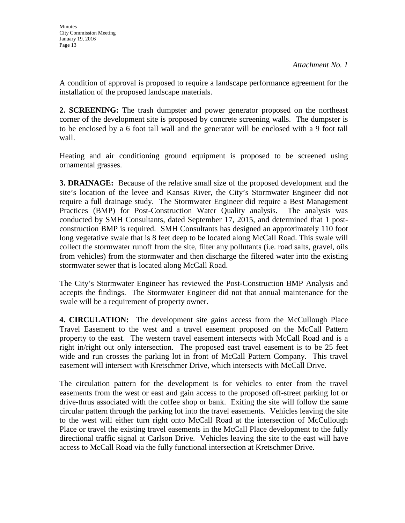A condition of approval is proposed to require a landscape performance agreement for the installation of the proposed landscape materials.

**2. SCREENING:** The trash dumpster and power generator proposed on the northeast corner of the development site is proposed by concrete screening walls. The dumpster is to be enclosed by a 6 foot tall wall and the generator will be enclosed with a 9 foot tall wall.

Heating and air conditioning ground equipment is proposed to be screened using ornamental grasses.

**3. DRAINAGE:** Because of the relative small size of the proposed development and the site's location of the levee and Kansas River, the City's Stormwater Engineer did not require a full drainage study. The Stormwater Engineer did require a Best Management Practices (BMP) for Post-Construction Water Quality analysis. The analysis was conducted by SMH Consultants, dated September 17, 2015, and determined that 1 postconstruction BMP is required. SMH Consultants has designed an approximately 110 foot long vegetative swale that is 8 feet deep to be located along McCall Road. This swale will collect the stormwater runoff from the site, filter any pollutants (i.e. road salts, gravel, oils from vehicles) from the stormwater and then discharge the filtered water into the existing stormwater sewer that is located along McCall Road.

The City's Stormwater Engineer has reviewed the Post-Construction BMP Analysis and accepts the findings. The Stormwater Engineer did not that annual maintenance for the swale will be a requirement of property owner.

**4. CIRCULATION:** The development site gains access from the McCullough Place Travel Easement to the west and a travel easement proposed on the McCall Pattern property to the east. The western travel easement intersects with McCall Road and is a right in/right out only intersection. The proposed east travel easement is to be 25 feet wide and run crosses the parking lot in front of McCall Pattern Company. This travel easement will intersect with Kretschmer Drive, which intersects with McCall Drive.

The circulation pattern for the development is for vehicles to enter from the travel easements from the west or east and gain access to the proposed off-street parking lot or drive-thrus associated with the coffee shop or bank. Exiting the site will follow the same circular pattern through the parking lot into the travel easements. Vehicles leaving the site to the west will either turn right onto McCall Road at the intersection of McCullough Place or travel the existing travel easements in the McCall Place development to the fully directional traffic signal at Carlson Drive. Vehicles leaving the site to the east will have access to McCall Road via the fully functional intersection at Kretschmer Drive.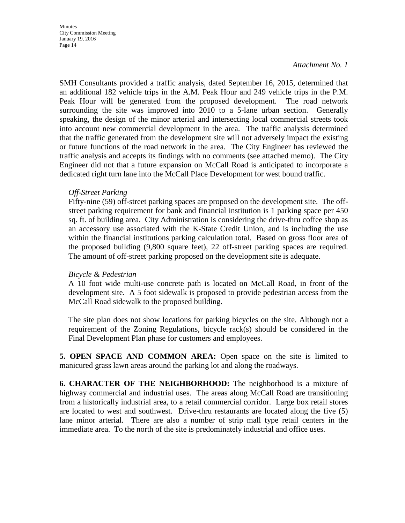SMH Consultants provided a traffic analysis, dated September 16, 2015, determined that an additional 182 vehicle trips in the A.M. Peak Hour and 249 vehicle trips in the P.M. Peak Hour will be generated from the proposed development. The road network surrounding the site was improved into 2010 to a 5-lane urban section. Generally speaking, the design of the minor arterial and intersecting local commercial streets took into account new commercial development in the area. The traffic analysis determined that the traffic generated from the development site will not adversely impact the existing or future functions of the road network in the area. The City Engineer has reviewed the traffic analysis and accepts its findings with no comments (see attached memo). The City Engineer did not that a future expansion on McCall Road is anticipated to incorporate a dedicated right turn lane into the McCall Place Development for west bound traffic.

## *Off-Street Parking*

Fifty-nine (59) off-street parking spaces are proposed on the development site. The offstreet parking requirement for bank and financial institution is 1 parking space per 450 sq. ft. of building area. City Administration is considering the drive-thru coffee shop as an accessory use associated with the K-State Credit Union, and is including the use within the financial institutions parking calculation total. Based on gross floor area of the proposed building (9,800 square feet), 22 off-street parking spaces are required. The amount of off-street parking proposed on the development site is adequate.

#### *Bicycle & Pedestrian*

A 10 foot wide multi-use concrete path is located on McCall Road, in front of the development site. A 5 foot sidewalk is proposed to provide pedestrian access from the McCall Road sidewalk to the proposed building.

The site plan does not show locations for parking bicycles on the site. Although not a requirement of the Zoning Regulations, bicycle rack(s) should be considered in the Final Development Plan phase for customers and employees.

**5. OPEN SPACE AND COMMON AREA:** Open space on the site is limited to manicured grass lawn areas around the parking lot and along the roadways.

**6. CHARACTER OF THE NEIGHBORHOOD:** The neighborhood is a mixture of highway commercial and industrial uses. The areas along McCall Road are transitioning from a historically industrial area, to a retail commercial corridor. Large box retail stores are located to west and southwest. Drive-thru restaurants are located along the five (5) lane minor arterial. There are also a number of strip mall type retail centers in the immediate area. To the north of the site is predominately industrial and office uses.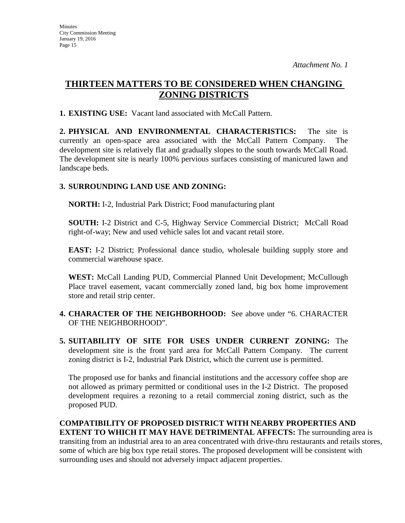# **THIRTEEN MATTERS TO BE CONSIDERED WHEN CHANGING ZONING DISTRICTS**

**1. EXISTING USE:** Vacant land associated with McCall Pattern.

**2. PHYSICAL AND ENVIRONMENTAL CHARACTERISTICS:** The site is currently an open-space area associated with the McCall Pattern Company. The development site is relatively flat and gradually slopes to the south towards McCall Road. The development site is nearly 100% pervious surfaces consisting of manicured lawn and landscape beds.

## **3. SURROUNDING LAND USE AND ZONING:**

**NORTH:** I-2, Industrial Park District; Food manufacturing plant

**SOUTH:** I-2 District and C-5, Highway Service Commercial District; McCall Road right-of-way; New and used vehicle sales lot and vacant retail store.

**EAST:** I-2 District; Professional dance studio, wholesale building supply store and commercial warehouse space.

**WEST:** McCall Landing PUD, Commercial Planned Unit Development; McCullough Place travel easement, vacant commercially zoned land, big box home improvement store and retail strip center.

- **4. CHARACTER OF THE NEIGHBORHOOD:** See above under "6. CHARACTER OF THE NEIGHBORHOOD".
- **5. SUITABILITY OF SITE FOR USES UNDER CURRENT ZONING:** The development site is the front yard area for McCall Pattern Company. The current zoning district is I-2, Industrial Park District, which the current use is permitted.

The proposed use for banks and financial institutions and the accessory coffee shop are not allowed as primary permitted or conditional uses in the I-2 District. The proposed development requires a rezoning to a retail commercial zoning district, such as the proposed PUD.

**COMPATIBILITY OF PROPOSED DISTRICT WITH NEARBY PROPERTIES AND EXTENT TO WHICH IT MAY HAVE DETRIMENTAL AFFECTS:** The surrounding area is transiting from an industrial area to an area concentrated with drive-thru restaurants and retails stores, some of which are big box type retail stores. The proposed development will be consistent with surrounding uses and should not adversely impact adjacent properties.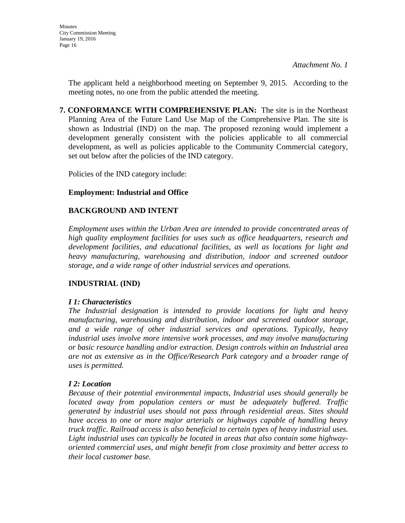The applicant held a neighborhood meeting on September 9, 2015. According to the meeting notes, no one from the public attended the meeting.

**7. CONFORMANCE WITH COMPREHENSIVE PLAN:** The site is in the Northeast Planning Area of the Future Land Use Map of the Comprehensive Plan. The site is shown as Industrial (IND) on the map. The proposed rezoning would implement a development generally consistent with the policies applicable to all commercial development, as well as policies applicable to the Community Commercial category, set out below after the policies of the IND category.

Policies of the IND category include:

## **Employment: Industrial and Office**

## **BACKGROUND AND INTENT**

*Employment uses within the Urban Area are intended to provide concentrated areas of high quality employment facilities for uses such as office headquarters, research and development facilities, and educational facilities, as well as locations for light and heavy manufacturing, warehousing and distribution, indoor and screened outdoor storage, and a wide range of other industrial services and operations.* 

## **INDUSTRIAL (IND)**

## *I 1: Characteristics*

*The Industrial designation is intended to provide locations for light and heavy manufacturing, warehousing and distribution, indoor and screened outdoor storage, and a wide range of other industrial services and operations. Typically, heavy industrial uses involve more intensive work processes, and may involve manufacturing or basic resource handling and/or extraction. Design controls within an Industrial area are not as extensive as in the Office/Research Park category and a broader range of uses is permitted.* 

## *I 2: Location*

*Because of their potential environmental impacts, Industrial uses should generally be located away from population centers or must be adequately buffered. Traffic generated by industrial uses should not pass through residential areas. Sites should have access to one or more major arterials or highways capable of handling heavy truck traffic. Railroad access is also beneficial to certain types of heavy industrial uses. Light industrial uses can typically be located in areas that also contain some highwayoriented commercial uses, and might benefit from close proximity and better access to their local customer base.*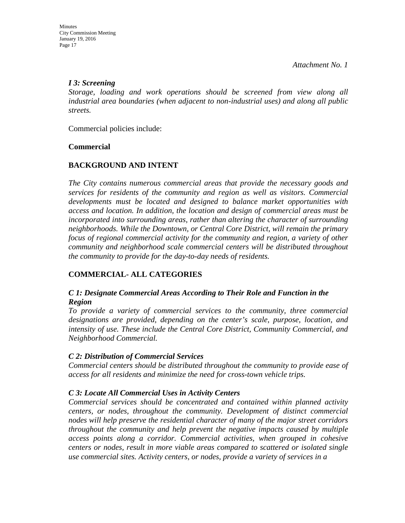## *I 3: Screening*

*Storage, loading and work operations should be screened from view along all industrial area boundaries (when adjacent to non-industrial uses) and along all public streets.*

Commercial policies include:

## **Commercial**

## **BACKGROUND AND INTENT**

*The City contains numerous commercial areas that provide the necessary goods and services for residents of the community and region as well as visitors. Commercial developments must be located and designed to balance market opportunities with access and location. In addition, the location and design of commercial areas must be incorporated into surrounding areas, rather than altering the character of surrounding neighborhoods. While the Downtown, or Central Core District, will remain the primary focus of regional commercial activity for the community and region, a variety of other community and neighborhood scale commercial centers will be distributed throughout the community to provide for the day-to-day needs of residents.* 

## **COMMERCIAL- ALL CATEGORIES**

## *C 1: Designate Commercial Areas According to Their Role and Function in the Region*

*To provide a variety of commercial services to the community, three commercial designations are provided, depending on the center's scale, purpose, location, and intensity of use. These include the Central Core District, Community Commercial, and Neighborhood Commercial.* 

## *C 2: Distribution of Commercial Services*

*Commercial centers should be distributed throughout the community to provide ease of access for all residents and minimize the need for cross-town vehicle trips.* 

## *C 3: Locate All Commercial Uses in Activity Centers*

*Commercial services should be concentrated and contained within planned activity centers, or nodes, throughout the community. Development of distinct commercial nodes will help preserve the residential character of many of the major street corridors throughout the community and help prevent the negative impacts caused by multiple access points along a corridor. Commercial activities, when grouped in cohesive centers or nodes, result in more viable areas compared to scattered or isolated single use commercial sites. Activity centers, or nodes, provide a variety of services in a*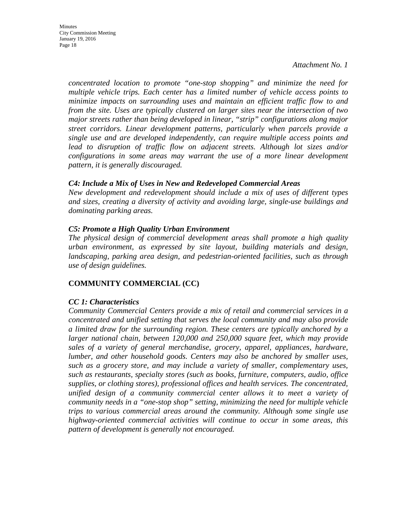*concentrated location to promote "one-stop shopping" and minimize the need for multiple vehicle trips. Each center has a limited number of vehicle access points to minimize impacts on surrounding uses and maintain an efficient traffic flow to and from the site. Uses are typically clustered on larger sites near the intersection of two major streets rather than being developed in linear, "strip" configurations along major street corridors. Linear development patterns, particularly when parcels provide a single use and are developed independently, can require multiple access points and lead to disruption of traffic flow on adjacent streets. Although lot sizes and/or configurations in some areas may warrant the use of a more linear development pattern, it is generally discouraged.* 

## *C4: Include a Mix of Uses in New and Redeveloped Commercial Areas*

*New development and redevelopment should include a mix of uses of different types and sizes, creating a diversity of activity and avoiding large, single-use buildings and dominating parking areas.* 

## *C5: Promote a High Quality Urban Environment*

*The physical design of commercial development areas shall promote a high quality urban environment, as expressed by site layout, building materials and design, landscaping, parking area design, and pedestrian-oriented facilities, such as through use of design guidelines.* 

## **COMMUNITY COMMERCIAL (CC)**

## *CC 1: Characteristics*

*Community Commercial Centers provide a mix of retail and commercial services in a concentrated and unified setting that serves the local community and may also provide a limited draw for the surrounding region. These centers are typically anchored by a larger national chain, between 120,000 and 250,000 square feet, which may provide sales of a variety of general merchandise, grocery, apparel, appliances, hardware, lumber, and other household goods. Centers may also be anchored by smaller uses, such as a grocery store, and may include a variety of smaller, complementary uses, such as restaurants, specialty stores (such as books, furniture, computers, audio, office supplies, or clothing stores), professional offices and health services. The concentrated, unified design of a community commercial center allows it to meet a variety of community needs in a "one-stop shop" setting, minimizing the need for multiple vehicle trips to various commercial areas around the community. Although some single use highway-oriented commercial activities will continue to occur in some areas, this pattern of development is generally not encouraged.*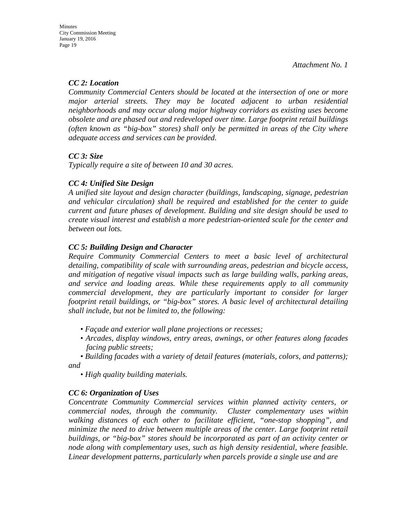## *CC 2: Location*

*Community Commercial Centers should be located at the intersection of one or more major arterial streets. They may be located adjacent to urban residential neighborhoods and may occur along major highway corridors as existing uses become obsolete and are phased out and redeveloped over time. Large footprint retail buildings (often known as "big-box" stores) shall only be permitted in areas of the City where adequate access and services can be provided.* 

## *CC 3: Size*

*Typically require a site of between 10 and 30 acres.* 

## *CC 4: Unified Site Design*

*A unified site layout and design character (buildings, landscaping, signage, pedestrian and vehicular circulation) shall be required and established for the center to guide current and future phases of development. Building and site design should be used to create visual interest and establish a more pedestrian-oriented scale for the center and between out lots.* 

## *CC 5: Building Design and Character*

*Require Community Commercial Centers to meet a basic level of architectural detailing, compatibility of scale with surrounding areas, pedestrian and bicycle access, and mitigation of negative visual impacts such as large building walls, parking areas, and service and loading areas. While these requirements apply to all community commercial development, they are particularly important to consider for larger footprint retail buildings, or "big-box" stores. A basic level of architectural detailing shall include, but not be limited to, the following:* 

- *Façade and exterior wall plane projections or recesses;*
- *Arcades, display windows, entry areas, awnings, or other features along facades facing public streets;*

*• Building facades with a variety of detail features (materials, colors, and patterns); and* 

*• High quality building materials.* 

## *CC 6: Organization of Uses*

*Concentrate Community Commercial services within planned activity centers, or commercial nodes, through the community. Cluster complementary uses within walking distances of each other to facilitate efficient, "one-stop shopping", and minimize the need to drive between multiple areas of the center. Large footprint retail buildings, or "big-box" stores should be incorporated as part of an activity center or node along with complementary uses, such as high density residential, where feasible. Linear development patterns, particularly when parcels provide a single use and are*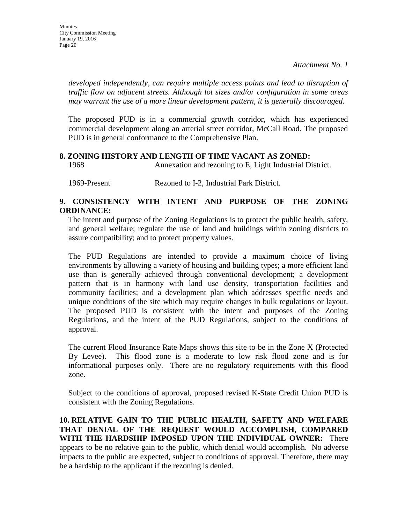*developed independently, can require multiple access points and lead to disruption of traffic flow on adjacent streets. Although lot sizes and/or configuration in some areas may warrant the use of a more linear development pattern, it is generally discouraged.* 

The proposed PUD is in a commercial growth corridor, which has experienced commercial development along an arterial street corridor, McCall Road. The proposed PUD is in general conformance to the Comprehensive Plan.

#### **8. ZONING HISTORY AND LENGTH OF TIME VACANT AS ZONED:**

1968 Annexation and rezoning to E, Light Industrial District.

1969-Present Rezoned to I-2, Industrial Park District.

## **9. CONSISTENCY WITH INTENT AND PURPOSE OF THE ZONING ORDINANCE:**

The intent and purpose of the Zoning Regulations is to protect the public health, safety, and general welfare; regulate the use of land and buildings within zoning districts to assure compatibility; and to protect property values.

The PUD Regulations are intended to provide a maximum choice of living environments by allowing a variety of housing and building types; a more efficient land use than is generally achieved through conventional development; a development pattern that is in harmony with land use density, transportation facilities and community facilities; and a development plan which addresses specific needs and unique conditions of the site which may require changes in bulk regulations or layout. The proposed PUD is consistent with the intent and purposes of the Zoning Regulations, and the intent of the PUD Regulations, subject to the conditions of approval.

The current Flood Insurance Rate Maps shows this site to be in the Zone X (Protected By Levee). This flood zone is a moderate to low risk flood zone and is for informational purposes only. There are no regulatory requirements with this flood zone.

Subject to the conditions of approval, proposed revised K-State Credit Union PUD is consistent with the Zoning Regulations.

**10. RELATIVE GAIN TO THE PUBLIC HEALTH, SAFETY AND WELFARE THAT DENIAL OF THE REQUEST WOULD ACCOMPLISH, COMPARED WITH THE HARDSHIP IMPOSED UPON THE INDIVIDUAL OWNER:** There appears to be no relative gain to the public, which denial would accomplish. No adverse impacts to the public are expected, subject to conditions of approval. Therefore, there may be a hardship to the applicant if the rezoning is denied.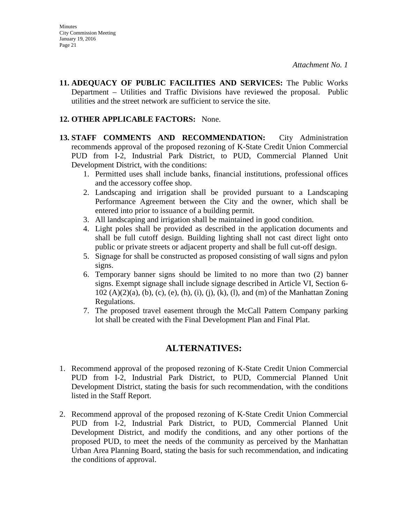**11. ADEQUACY OF PUBLIC FACILITIES AND SERVICES:** The Public Works Department – Utilities and Traffic Divisions have reviewed the proposal. Public utilities and the street network are sufficient to service the site.

## **12. OTHER APPLICABLE FACTORS:** None.

- **13. STAFF COMMENTS AND RECOMMENDATION:** City Administration recommends approval of the proposed rezoning of K-State Credit Union Commercial PUD from I-2, Industrial Park District, to PUD, Commercial Planned Unit Development District, with the conditions:
	- 1. Permitted uses shall include banks, financial institutions, professional offices and the accessory coffee shop.
	- 2. Landscaping and irrigation shall be provided pursuant to a Landscaping Performance Agreement between the City and the owner, which shall be entered into prior to issuance of a building permit.
	- 3. All landscaping and irrigation shall be maintained in good condition.
	- 4. Light poles shall be provided as described in the application documents and shall be full cutoff design. Building lighting shall not cast direct light onto public or private streets or adjacent property and shall be full cut-off design.
	- 5. Signage for shall be constructed as proposed consisting of wall signs and pylon signs.
	- 6. Temporary banner signs should be limited to no more than two (2) banner signs. Exempt signage shall include signage described in Article VI, Section 6- 102 (A)(2)(a), (b), (c), (e), (h), (i), (j), (k), (l), and (m) of the Manhattan Zoning Regulations.
	- 7. The proposed travel easement through the McCall Pattern Company parking lot shall be created with the Final Development Plan and Final Plat.

# **ALTERNATIVES:**

- 1. Recommend approval of the proposed rezoning of K-State Credit Union Commercial PUD from I-2, Industrial Park District, to PUD, Commercial Planned Unit Development District, stating the basis for such recommendation, with the conditions listed in the Staff Report.
- 2. Recommend approval of the proposed rezoning of K-State Credit Union Commercial PUD from I-2, Industrial Park District, to PUD, Commercial Planned Unit Development District, and modify the conditions, and any other portions of the proposed PUD, to meet the needs of the community as perceived by the Manhattan Urban Area Planning Board, stating the basis for such recommendation, and indicating the conditions of approval.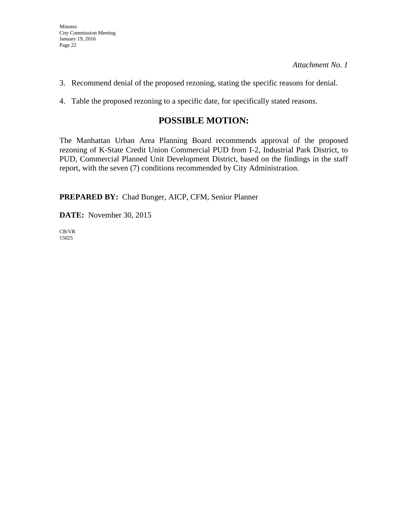- 3. Recommend denial of the proposed rezoning, stating the specific reasons for denial.
- 4. Table the proposed rezoning to a specific date, for specifically stated reasons.

# **POSSIBLE MOTION:**

The Manhattan Urban Area Planning Board recommends approval of the proposed rezoning of K-State Credit Union Commercial PUD from I-2, Industrial Park District, to PUD, Commercial Planned Unit Development District, based on the findings in the staff report, with the seven (7) conditions recommended by City Administration.

**PREPARED BY:** Chad Bunger, AICP, CFM, Senior Planner

**DATE:** November 30, 2015

CB/VR 15025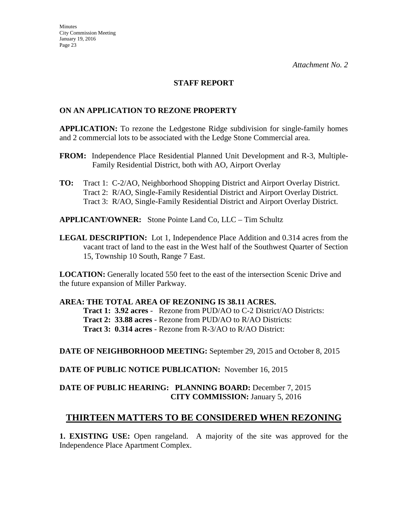### **STAFF REPORT**

#### **ON AN APPLICATION TO REZONE PROPERTY**

**APPLICATION:** To rezone the Ledgestone Ridge subdivision for single-family homes and 2 commercial lots to be associated with the Ledge Stone Commercial area.

- **FROM:** Independence Place Residential Planned Unit Development and R-3, Multiple-Family Residential District, both with AO, Airport Overlay
- **TO:** Tract 1:C-2/AO, Neighborhood Shopping District and Airport Overlay District. Tract 2: R/AO, Single-Family Residential District and Airport Overlay District. Tract 3: R/AO, Single-Family Residential District and Airport Overlay District.
- **APPLICANT/OWNER:** Stone Pointe Land Co, LLC Tim Schultz
- **LEGAL DESCRIPTION:** Lot 1, Independence Place Addition and 0.314 acres from the vacant tract of land to the east in the West half of the Southwest Quarter of Section 15, Township 10 South, Range 7 East.

**LOCATION:** Generally located 550 feet to the east of the intersection Scenic Drive and the future expansion of Miller Parkway.

#### **AREA: THE TOTAL AREA OF REZONING IS 38.11 ACRES.**

**Tract 1: 3.92 acres** - Rezone from PUD/AO to C-2 District/AO Districts: **Tract 2: 33.88 acres** - Rezone from PUD/AO to R/AO Districts: **Tract 3: 0.314 acres** - Rezone from R-3/AO to R/AO District:

**DATE OF NEIGHBORHOOD MEETING:** September 29, 2015 and October 8, 2015

**DATE OF PUBLIC NOTICE PUBLICATION:** November 16, 2015

## **DATE OF PUBLIC HEARING: PLANNING BOARD:** December 7, 2015 **CITY COMMISSION:** January 5, 2016

## **THIRTEEN MATTERS TO BE CONSIDERED WHEN REZONING**

**1. EXISTING USE:** Open rangeland. A majority of the site was approved for the Independence Place Apartment Complex.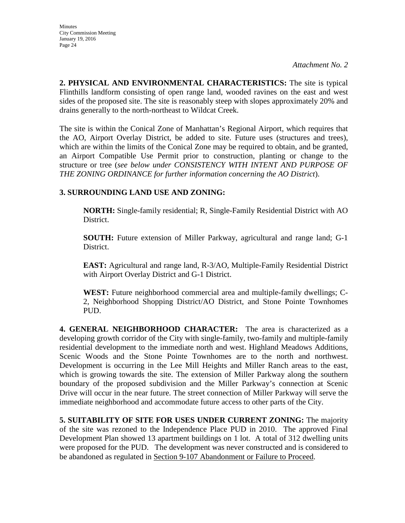**2. PHYSICAL AND ENVIRONMENTAL CHARACTERISTICS:** The site is typical Flinthills landform consisting of open range land, wooded ravines on the east and west sides of the proposed site. The site is reasonably steep with slopes approximately 20% and drains generally to the north-northeast to Wildcat Creek.

The site is within the Conical Zone of Manhattan's Regional Airport, which requires that the AO, Airport Overlay District, be added to site. Future uses (structures and trees), which are within the limits of the Conical Zone may be required to obtain, and be granted, an Airport Compatible Use Permit prior to construction, planting or change to the structure or tree (*see below under CONSISTENCY WITH INTENT AND PURPOSE OF THE ZONING ORDINANCE for further information concerning the AO District*).

# **3. SURROUNDING LAND USE AND ZONING:**

**NORTH:** Single-family residential; R, Single-Family Residential District with AO District.

**SOUTH:** Future extension of Miller Parkway, agricultural and range land; G-1 District.

**EAST:** Agricultural and range land, R-3/AO, Multiple-Family Residential District with Airport Overlay District and G-1 District.

**WEST:** Future neighborhood commercial area and multiple-family dwellings; C-2, Neighborhood Shopping District/AO District, and Stone Pointe Townhomes PUD.

**4. GENERAL NEIGHBORHOOD CHARACTER:** The area is characterized as a developing growth corridor of the City with single-family, two-family and multiple-family residential development to the immediate north and west. Highland Meadows Additions, Scenic Woods and the Stone Pointe Townhomes are to the north and northwest. Development is occurring in the Lee Mill Heights and Miller Ranch areas to the east, which is growing towards the site. The extension of Miller Parkway along the southern boundary of the proposed subdivision and the Miller Parkway's connection at Scenic Drive will occur in the near future. The street connection of Miller Parkway will serve the immediate neighborhood and accommodate future access to other parts of the City.

**5. SUITABILITY OF SITE FOR USES UNDER CURRENT ZONING:** The majority of the site was rezoned to the Independence Place PUD in 2010. The approved Final Development Plan showed 13 apartment buildings on 1 lot. A total of 312 dwelling units were proposed for the PUD. The development was never constructed and is considered to be abandoned as regulated in Section 9-107 Abandonment or Failure to Proceed.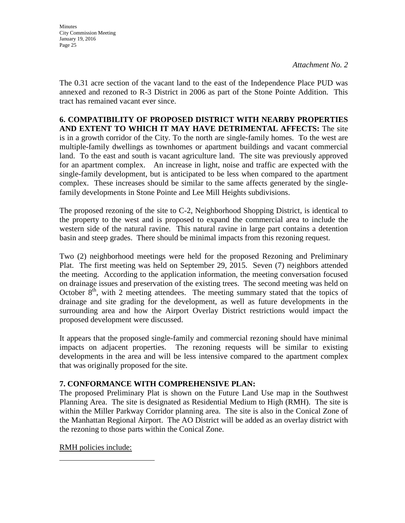**Minutes** City Commission Meeting January 19, 2016 Page 25

*Attachment No. 2*

The 0.31 acre section of the vacant land to the east of the Independence Place PUD was annexed and rezoned to R-3 District in 2006 as part of the Stone Pointe Addition. This tract has remained vacant ever since.

**6. COMPATIBILITY OF PROPOSED DISTRICT WITH NEARBY PROPERTIES AND EXTENT TO WHICH IT MAY HAVE DETRIMENTAL AFFECTS:** The site is in a growth corridor of the City. To the north are single-family homes. To the west are multiple-family dwellings as townhomes or apartment buildings and vacant commercial land. To the east and south is vacant agriculture land. The site was previously approved for an apartment complex. An increase in light, noise and traffic are expected with the single-family development, but is anticipated to be less when compared to the apartment complex. These increases should be similar to the same affects generated by the singlefamily developments in Stone Pointe and Lee Mill Heights subdivisions.

The proposed rezoning of the site to C-2, Neighborhood Shopping District, is identical to the property to the west and is proposed to expand the commercial area to include the western side of the natural ravine. This natural ravine in large part contains a detention basin and steep grades. There should be minimal impacts from this rezoning request.

Two (2) neighborhood meetings were held for the proposed Rezoning and Preliminary Plat. The first meeting was held on September 29, 2015. Seven (7) neighbors attended the meeting. According to the application information, the meeting conversation focused on drainage issues and preservation of the existing trees. The second meeting was held on October  $8<sup>th</sup>$ , with 2 meeting attendees. The meeting summary stated that the topics of drainage and site grading for the development, as well as future developments in the surrounding area and how the Airport Overlay District restrictions would impact the proposed development were discussed.

It appears that the proposed single-family and commercial rezoning should have minimal impacts on adjacent properties. The rezoning requests will be similar to existing developments in the area and will be less intensive compared to the apartment complex that was originally proposed for the site.

## **7. CONFORMANCE WITH COMPREHENSIVE PLAN:**

The proposed Preliminary Plat is shown on the Future Land Use map in the Southwest Planning Area. The site is designated as Residential Medium to High (RMH). The site is within the Miller Parkway Corridor planning area. The site is also in the Conical Zone of the Manhattan Regional Airport. The AO District will be added as an overlay district with the rezoning to those parts within the Conical Zone.

RMH policies include: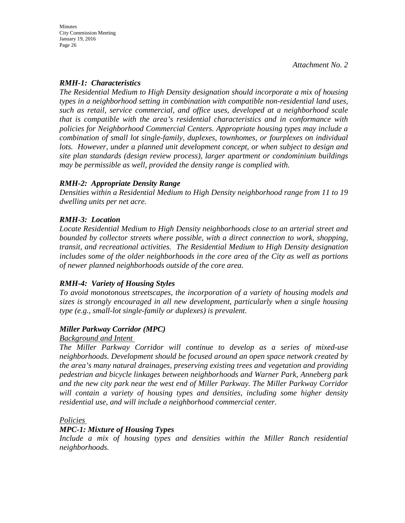## *RMH-1: Characteristics*

*The Residential Medium to High Density designation should incorporate a mix of housing types in a neighborhood setting in combination with compatible non-residential land uses, such as retail, service commercial, and office uses, developed at a neighborhood scale that is compatible with the area's residential characteristics and in conformance with policies for Neighborhood Commercial Centers. Appropriate housing types may include a combination of small lot single-family, duplexes, townhomes, or fourplexes on individual lots. However, under a planned unit development concept, or when subject to design and site plan standards (design review process), larger apartment or condominium buildings may be permissible as well, provided the density range is complied with.* 

## *RMH-2: Appropriate Density Range*

*Densities within a Residential Medium to High Density neighborhood range from 11 to 19 dwelling units per net acre.* 

## *RMH-3: Location*

*Locate Residential Medium to High Density neighborhoods close to an arterial street and bounded by collector streets where possible, with a direct connection to work, shopping, transit, and recreational activities. The Residential Medium to High Density designation includes some of the older neighborhoods in the core area of the City as well as portions of newer planned neighborhoods outside of the core area.* 

## *RMH-4: Variety of Housing Styles*

*To avoid monotonous streetscapes, the incorporation of a variety of housing models and sizes is strongly encouraged in all new development, particularly when a single housing type (e.g., small-lot single-family or duplexes) is prevalent.* 

## *Miller Parkway Corridor (MPC)*

## *Background and Intent*

*The Miller Parkway Corridor will continue to develop as a series of mixed-use neighborhoods. Development should be focused around an open space network created by the area's many natural drainages, preserving existing trees and vegetation and providing pedestrian and bicycle linkages between neighborhoods and Warner Park, Anneberg park and the new city park near the west end of Miller Parkway. The Miller Parkway Corridor will contain a variety of housing types and densities, including some higher density residential use, and will include a neighborhood commercial center.* 

## *Policies*

## *MPC-1: Mixture of Housing Types*

*Include a mix of housing types and densities within the Miller Ranch residential neighborhoods.*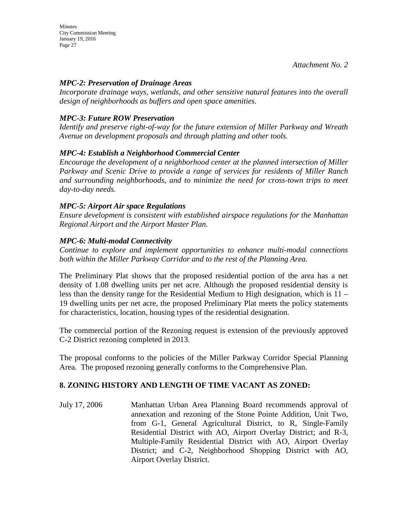## *MPC-2: Preservation of Drainage Areas*

*Incorporate drainage ways, wetlands, and other sensitive natural features into the overall design of neighborhoods as buffers and open space amenities.* 

## *MPC-3: Future ROW Preservation*

*Identify and preserve right-of-way for the future extension of Miller Parkway and Wreath Avenue on development proposals and through platting and other tools.* 

## *MPC-4: Establish a Neighborhood Commercial Center*

*Encourage the development of a neighborhood center at the planned intersection of Miller Parkway and Scenic Drive to provide a range of services for residents of Miller Ranch*  and surrounding neighborhoods, and to minimize the need for cross-town trips to meet *day-to-day needs.* 

## *MPC-5: Airport Air space Regulations*

*Ensure development is consistent with established airspace regulations for the Manhattan Regional Airport and the Airport Master Plan.* 

## *MPC-6: Multi-modal Connectivity*

*Continue to explore and implement opportunities to enhance multi-modal connections both within the Miller Parkway Corridor and to the rest of the Planning Area.* 

The Preliminary Plat shows that the proposed residential portion of the area has a net density of 1.08 dwelling units per net acre. Although the proposed residential density is less than the density range for the Residential Medium to High designation, which is 11 – 19 dwelling units per net acre, the proposed Preliminary Plat meets the policy statements for characteristics, location, housing types of the residential designation.

The commercial portion of the Rezoning request is extension of the previously approved C-2 District rezoning completed in 2013.

The proposal conforms to the policies of the Miller Parkway Corridor Special Planning Area. The proposed rezoning generally conforms to the Comprehensive Plan.

## **8. ZONING HISTORY AND LENGTH OF TIME VACANT AS ZONED:**

July 17, 2006 Manhattan Urban Area Planning Board recommends approval of annexation and rezoning of the Stone Pointe Addition, Unit Two, from G-1, General Agricultural District, to R, Single-Family Residential District with AO, Airport Overlay District; and R-3, Multiple-Family Residential District with AO, Airport Overlay District; and C-2, Neighborhood Shopping District with AO, Airport Overlay District.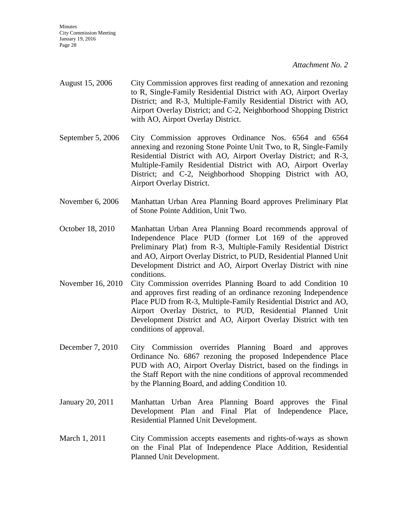- August 15, 2006 City Commission approves first reading of annexation and rezoning to R, Single-Family Residential District with AO, Airport Overlay District; and R-3, Multiple-Family Residential District with AO, Airport Overlay District; and C-2, Neighborhood Shopping District with AO, Airport Overlay District.
- September 5, 2006 City Commission approves Ordinance Nos. 6564 and 6564 annexing and rezoning Stone Pointe Unit Two, to R, Single-Family Residential District with AO, Airport Overlay District; and R-3, Multiple-Family Residential District with AO, Airport Overlay District; and C-2, Neighborhood Shopping District with AO, Airport Overlay District.
- November 6, 2006 Manhattan Urban Area Planning Board approves Preliminary Plat of Stone Pointe Addition, Unit Two.
- October 18, 2010 Manhattan Urban Area Planning Board recommends approval of Independence Place PUD (former Lot 169 of the approved Preliminary Plat) from R-3, Multiple-Family Residential District and AO, Airport Overlay District, to PUD, Residential Planned Unit Development District and AO, Airport Overlay District with nine conditions.
- November 16, 2010 City Commission overrides Planning Board to add Condition 10 and approves first reading of an ordinance rezoning Independence Place PUD from R-3, Multiple-Family Residential District and AO, Airport Overlay District, to PUD, Residential Planned Unit Development District and AO, Airport Overlay District with ten conditions of approval.
- December 7, 2010 City Commission overrides Planning Board and approves Ordinance No. 6867 rezoning the proposed Independence Place PUD with AO, Airport Overlay District, based on the findings in the Staff Report with the nine conditions of approval recommended by the Planning Board, and adding Condition 10.
- January 20, 2011 Manhattan Urban Area Planning Board approves the Final Development Plan and Final Plat of Independence Place, Residential Planned Unit Development.
- March 1, 2011 City Commission accepts easements and rights-of-ways as shown on the Final Plat of Independence Place Addition, Residential Planned Unit Development.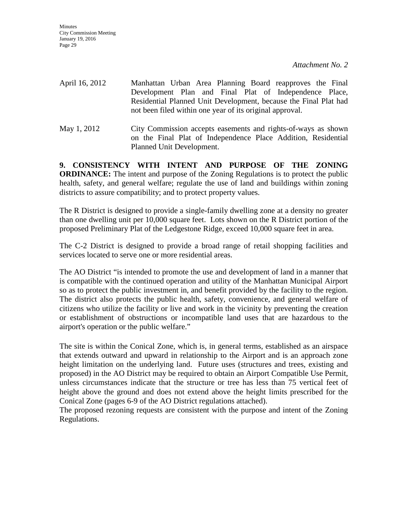**Minutes** City Commission Meeting January 19, 2016 Page 29

*Attachment No. 2*

April 16, 2012 Manhattan Urban Area Planning Board reapproves the Final Development Plan and Final Plat of Independence Place, Residential Planned Unit Development, because the Final Plat had not been filed within one year of its original approval. May 1, 2012 City Commission accepts easements and rights-of-ways as shown on the Final Plat of Independence Place Addition, Residential

**9. CONSISTENCY WITH INTENT AND PURPOSE OF THE ZONING ORDINANCE:** The intent and purpose of the Zoning Regulations is to protect the public health, safety, and general welfare; regulate the use of land and buildings within zoning districts to assure compatibility; and to protect property values.

Planned Unit Development.

The R District is designed to provide a single-family dwelling zone at a density no greater than one dwelling unit per 10,000 square feet. Lots shown on the R District portion of the proposed Preliminary Plat of the Ledgestone Ridge, exceed 10,000 square feet in area.

The C-2 District is designed to provide a broad range of retail shopping facilities and services located to serve one or more residential areas.

The AO District "is intended to promote the use and development of land in a manner that is compatible with the continued operation and utility of the Manhattan Municipal Airport so as to protect the public investment in, and benefit provided by the facility to the region. The district also protects the public health, safety, convenience, and general welfare of citizens who utilize the facility or live and work in the vicinity by preventing the creation or establishment of obstructions or incompatible land uses that are hazardous to the airport's operation or the public welfare."

The site is within the Conical Zone, which is, in general terms, established as an airspace that extends outward and upward in relationship to the Airport and is an approach zone height limitation on the underlying land. Future uses (structures and trees, existing and proposed) in the AO District may be required to obtain an Airport Compatible Use Permit, unless circumstances indicate that the structure or tree has less than 75 vertical feet of height above the ground and does not extend above the height limits prescribed for the Conical Zone (pages 6-9 of the AO District regulations attached).

The proposed rezoning requests are consistent with the purpose and intent of the Zoning Regulations.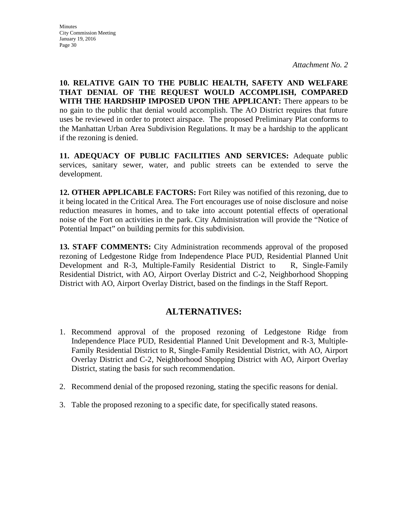**10. RELATIVE GAIN TO THE PUBLIC HEALTH, SAFETY AND WELFARE THAT DENIAL OF THE REQUEST WOULD ACCOMPLISH, COMPARED WITH THE HARDSHIP IMPOSED UPON THE APPLICANT:** There appears to be no gain to the public that denial would accomplish. The AO District requires that future uses be reviewed in order to protect airspace. The proposed Preliminary Plat conforms to the Manhattan Urban Area Subdivision Regulations. It may be a hardship to the applicant if the rezoning is denied.

**11. ADEQUACY OF PUBLIC FACILITIES AND SERVICES:** Adequate public services, sanitary sewer, water, and public streets can be extended to serve the development.

**12. OTHER APPLICABLE FACTORS:** Fort Riley was notified of this rezoning, due to it being located in the Critical Area. The Fort encourages use of noise disclosure and noise reduction measures in homes, and to take into account potential effects of operational noise of the Fort on activities in the park. City Administration will provide the "Notice of Potential Impact" on building permits for this subdivision.

**13. STAFF COMMENTS:** City Administration recommends approval of the proposed rezoning of Ledgestone Ridge from Independence Place PUD, Residential Planned Unit Development and R-3, Multiple-Family Residential District to R, Single-Family Residential District, with AO, Airport Overlay District and C-2, Neighborhood Shopping District with AO, Airport Overlay District, based on the findings in the Staff Report.

# **ALTERNATIVES:**

- 1. Recommend approval of the proposed rezoning of Ledgestone Ridge from Independence Place PUD, Residential Planned Unit Development and R-3, Multiple-Family Residential District to R, Single-Family Residential District, with AO, Airport Overlay District and C-2, Neighborhood Shopping District with AO, Airport Overlay District, stating the basis for such recommendation.
- 2. Recommend denial of the proposed rezoning, stating the specific reasons for denial.
- 3. Table the proposed rezoning to a specific date, for specifically stated reasons.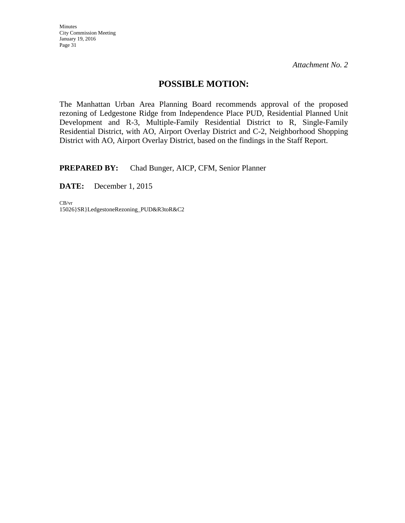Minutes City Commission Meeting January 19, 2016 Page 31

*Attachment No. 2*

# **POSSIBLE MOTION:**

The Manhattan Urban Area Planning Board recommends approval of the proposed rezoning of Ledgestone Ridge from Independence Place PUD, Residential Planned Unit Development and R-3, Multiple-Family Residential District to R, Single-Family Residential District, with AO, Airport Overlay District and C-2, Neighborhood Shopping District with AO, Airport Overlay District, based on the findings in the Staff Report.

**PREPARED BY:** Chad Bunger, AICP, CFM, Senior Planner

**DATE:** December 1, 2015

CB/vr 15026}SR}LedgestoneRezoning\_PUD&R3toR&C2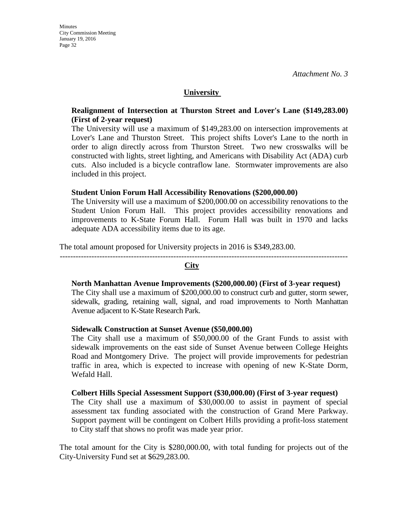#### **University**

#### **Realignment of Intersection at Thurston Street and Lover's Lane (\$149,283.00) (First of 2-year request)**

The University will use a maximum of \$149,283.00 on intersection improvements at Lover's Lane and Thurston Street.This project shifts Lover's Lane to the north in order to align directly across from Thurston Street. Two new crosswalks will be constructed with lights, street lighting, and Americans with Disability Act (ADA) curb cuts. Also included is a bicycle contraflow lane. Stormwater improvements are also included in this project.

#### **Student Union Forum Hall Accessibility Renovations (\$200,000.00)**

The University will use a maximum of \$200,000.00 on accessibility renovations to the Student Union Forum Hall.This project provides accessibility renovations and improvements to K-State Forum Hall. Forum Hall was built in 1970 and lacks adequate ADA accessibility items due to its age.

The total amount proposed for University projects in 2016 is \$349,283.00.

-------------------------------------------------------------------------------------------------------------

#### **City**

#### **North Manhattan Avenue Improvements (\$200,000.00) (First of 3-year request)**

The City shall use a maximum of \$200,000.00 to construct curb and gutter, storm sewer, sidewalk, grading, retaining wall, signal, and road improvements to North Manhattan Avenue adjacent to K-State Research Park.

#### **Sidewalk Construction at Sunset Avenue (\$50,000.00)**

The City shall use a maximum of \$50,000.00 of the Grant Funds to assist with sidewalk improvements on the east side of Sunset Avenue between College Heights Road and Montgomery Drive. The project will provide improvements for pedestrian traffic in area, which is expected to increase with opening of new K-State Dorm, Wefald Hall.

#### **Colbert Hills Special Assessment Support (\$30,000.00) (First of 3-year request)**

The City shall use a maximum of \$30,000.00 to assist in payment of special assessment tax funding associated with the construction of Grand Mere Parkway. Support payment will be contingent on Colbert Hills providing a profit-loss statement to City staff that shows no profit was made year prior.

The total amount for the City is \$280,000.00, with total funding for projects out of the City-University Fund set at \$629,283.00.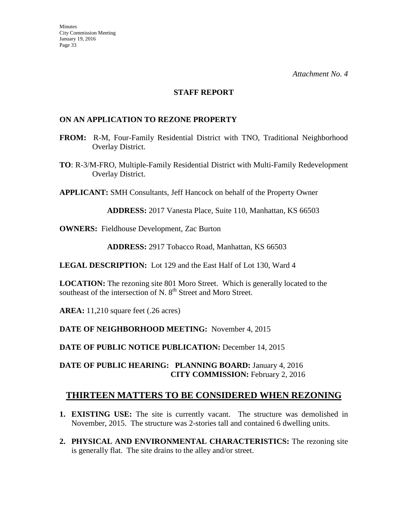#### **STAFF REPORT**

#### **ON AN APPLICATION TO REZONE PROPERTY**

- **FROM:** R-M, Four-Family Residential District with TNO, Traditional Neighborhood Overlay District.
- **TO**: R-3/M-FRO, Multiple-Family Residential District with Multi-Family Redevelopment Overlay District.

**APPLICANT:** SMH Consultants, Jeff Hancock on behalf of the Property Owner

**ADDRESS:** 2017 Vanesta Place, Suite 110, Manhattan, KS 66503

**OWNERS:** Fieldhouse Development, Zac Burton

**ADDRESS:** 2917 Tobacco Road, Manhattan, KS 66503

**LEGAL DESCRIPTION:** Lot 129 and the East Half of Lot 130, Ward 4

**LOCATION:** The rezoning site 801 Moro Street. Which is generally located to the southeast of the intersection of N. 8<sup>th</sup> Street and Moro Street.

**AREA:** 11,210 square feet (.26 acres)

**DATE OF NEIGHBORHOOD MEETING:** November 4, 2015

**DATE OF PUBLIC NOTICE PUBLICATION:** December 14, 2015

**DATE OF PUBLIC HEARING: PLANNING BOARD:** January 4, 2016 **CITY COMMISSION:** February 2, 2016

## **THIRTEEN MATTERS TO BE CONSIDERED WHEN REZONING**

- **1. EXISTING USE:** The site is currently vacant. The structure was demolished in November, 2015. The structure was 2-stories tall and contained 6 dwelling units.
- **2. PHYSICAL AND ENVIRONMENTAL CHARACTERISTICS:** The rezoning site is generally flat. The site drains to the alley and/or street.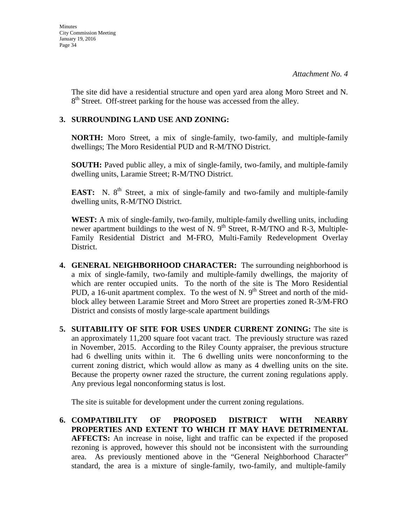The site did have a residential structure and open yard area along Moro Street and N.  $8<sup>th</sup>$  Street. Off-street parking for the house was accessed from the alley.

## **3. SURROUNDING LAND USE AND ZONING:**

**NORTH:** Moro Street, a mix of single-family, two-family, and multiple-family dwellings; The Moro Residential PUD and R-M/TNO District.

**SOUTH:** Paved public alley, a mix of single-family, two-family, and multiple-family dwelling units, Laramie Street; R-M/TNO District.

**EAST:** N. 8<sup>th</sup> Street, a mix of single-family and two-family and multiple-family dwelling units, R-M/TNO District.

**WEST:** A mix of single-family, two-family, multiple-family dwelling units, including newer apartment buildings to the west of N. 9<sup>th</sup> Street, R-M/TNO and R-3, Multiple-Family Residential District and M-FRO, Multi-Family Redevelopment Overlay District.

- **4. GENERAL NEIGHBORHOOD CHARACTER:** The surrounding neighborhood is a mix of single-family, two-family and multiple-family dwellings, the majority of which are renter occupied units. To the north of the site is The Moro Residential PUD, a 16-unit apartment complex. To the west of N.  $9<sup>th</sup>$  Street and north of the midblock alley between Laramie Street and Moro Street are properties zoned R-3/M-FRO District and consists of mostly large-scale apartment buildings
- **5. SUITABILITY OF SITE FOR USES UNDER CURRENT ZONING:** The site is an approximately 11,200 square foot vacant tract. The previously structure was razed in November, 2015. According to the Riley County appraiser, the previous structure had 6 dwelling units within it. The 6 dwelling units were nonconforming to the current zoning district, which would allow as many as 4 dwelling units on the site. Because the property owner razed the structure, the current zoning regulations apply. Any previous legal nonconforming status is lost.

The site is suitable for development under the current zoning regulations.

**6. COMPATIBILITY OF PROPOSED DISTRICT WITH NEARBY PROPERTIES AND EXTENT TO WHICH IT MAY HAVE DETRIMENTAL AFFECTS:** An increase in noise, light and traffic can be expected if the proposed rezoning is approved, however this should not be inconsistent with the surrounding area. As previously mentioned above in the "General Neighborhood Character" standard, the area is a mixture of single-family, two-family, and multiple-family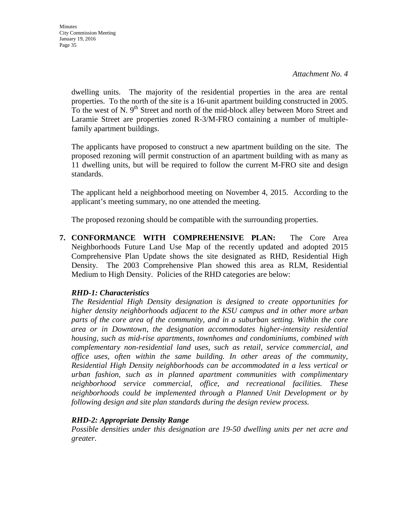dwelling units. The majority of the residential properties in the area are rental properties. To the north of the site is a 16-unit apartment building constructed in 2005. To the west of N. 9<sup>th</sup> Street and north of the mid-block alley between Moro Street and Laramie Street are properties zoned R-3/M-FRO containing a number of multiplefamily apartment buildings.

The applicants have proposed to construct a new apartment building on the site. The proposed rezoning will permit construction of an apartment building with as many as 11 dwelling units, but will be required to follow the current M-FRO site and design standards.

The applicant held a neighborhood meeting on November 4, 2015. According to the applicant's meeting summary, no one attended the meeting.

The proposed rezoning should be compatible with the surrounding properties.

**7. CONFORMANCE WITH COMPREHENSIVE PLAN:** The Core Area Neighborhoods Future Land Use Map of the recently updated and adopted 2015 Comprehensive Plan Update shows the site designated as RHD, Residential High Density. The 2003 Comprehensive Plan showed this area as RLM, Residential Medium to High Density. Policies of the RHD categories are below:

## *RHD-1: Characteristics*

*The Residential High Density designation is designed to create opportunities for higher density neighborhoods adjacent to the KSU campus and in other more urban parts of the core area of the community, and in a suburban setting. Within the core area or in Downtown, the designation accommodates higher-intensity residential housing, such as mid-rise apartments, townhomes and condominiums, combined with complementary non-residential land uses, such as retail, service commercial, and office uses, often within the same building. In other areas of the community, Residential High Density neighborhoods can be accommodated in a less vertical or urban fashion, such as in planned apartment communities with complimentary neighborhood service commercial, office, and recreational facilities. These neighborhoods could be implemented through a Planned Unit Development or by following design and site plan standards during the design review process.* 

## *RHD-2: Appropriate Density Range*

*Possible densities under this designation are 19-50 dwelling units per net acre and greater.*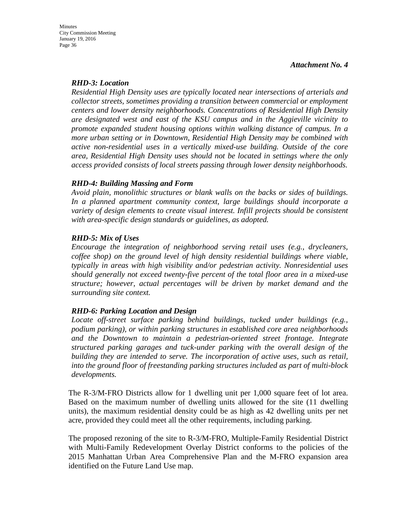#### *RHD-3: Location*

*Residential High Density uses are typically located near intersections of arterials and collector streets, sometimes providing a transition between commercial or employment centers and lower density neighborhoods. Concentrations of Residential High Density are designated west and east of the KSU campus and in the Aggieville vicinity to promote expanded student housing options within walking distance of campus. In a more urban setting or in Downtown, Residential High Density may be combined with active non-residential uses in a vertically mixed-use building. Outside of the core area, Residential High Density uses should not be located in settings where the only access provided consists of local streets passing through lower density neighborhoods.* 

#### *RHD-4: Building Massing and Form*

*Avoid plain, monolithic structures or blank walls on the backs or sides of buildings. In a planned apartment community context, large buildings should incorporate a variety of design elements to create visual interest. Infill projects should be consistent with area-specific design standards or guidelines, as adopted.* 

#### *RHD-5: Mix of Uses*

*Encourage the integration of neighborhood serving retail uses (e.g., drycleaners, coffee shop) on the ground level of high density residential buildings where viable, typically in areas with high visibility and/or pedestrian activity. Nonresidential uses should generally not exceed twenty-five percent of the total floor area in a mixed-use structure; however, actual percentages will be driven by market demand and the surrounding site context.* 

## *RHD-6: Parking Location and Design*

*Locate off-street surface parking behind buildings, tucked under buildings (e.g., podium parking), or within parking structures in established core area neighborhoods and the Downtown to maintain a pedestrian-oriented street frontage. Integrate structured parking garages and tuck-under parking with the overall design of the building they are intended to serve. The incorporation of active uses, such as retail, into the ground floor of freestanding parking structures included as part of multi-block developments.*

The R-3/M-FRO Districts allow for 1 dwelling unit per 1,000 square feet of lot area. Based on the maximum number of dwelling units allowed for the site (11 dwelling units), the maximum residential density could be as high as 42 dwelling units per net acre, provided they could meet all the other requirements, including parking.

The proposed rezoning of the site to R-3/M-FRO, Multiple-Family Residential District with Multi-Family Redevelopment Overlay District conforms to the policies of the 2015 Manhattan Urban Area Comprehensive Plan and the M-FRO expansion area identified on the Future Land Use map.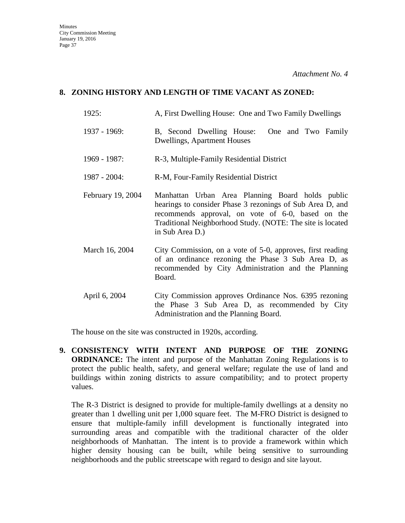### **8. ZONING HISTORY AND LENGTH OF TIME VACANT AS ZONED:**

- 1925: A, First Dwelling House: One and Two Family Dwellings
- 1937 1969: B, Second Dwelling House: One and Two Family Dwellings, Apartment Houses
- 1969 1987: R-3, Multiple-Family Residential District
- 1987 2004: R-M, Four-Family Residential District
- February 19, 2004 Manhattan Urban Area Planning Board holds public hearings to consider Phase 3 rezonings of Sub Area D, and recommends approval, on vote of 6-0, based on the Traditional Neighborhood Study. (NOTE: The site is located in Sub Area D.)
- March 16, 2004 City Commission, on a vote of 5-0, approves, first reading of an ordinance rezoning the Phase 3 Sub Area D, as recommended by City Administration and the Planning Board.
- April 6, 2004 City Commission approves Ordinance Nos. 6395 rezoning the Phase 3 Sub Area D, as recommended by City Administration and the Planning Board.

The house on the site was constructed in 1920s, according.

**9. CONSISTENCY WITH INTENT AND PURPOSE OF THE ZONING ORDINANCE:** The intent and purpose of the Manhattan Zoning Regulations is to protect the public health, safety, and general welfare; regulate the use of land and buildings within zoning districts to assure compatibility; and to protect property values.

The R-3 District is designed to provide for multiple-family dwellings at a density no greater than 1 dwelling unit per 1,000 square feet. The M-FRO District is designed to ensure that multiple-family infill development is functionally integrated into surrounding areas and compatible with the traditional character of the older neighborhoods of Manhattan. The intent is to provide a framework within which higher density housing can be built, while being sensitive to surrounding neighborhoods and the public streetscape with regard to design and site layout.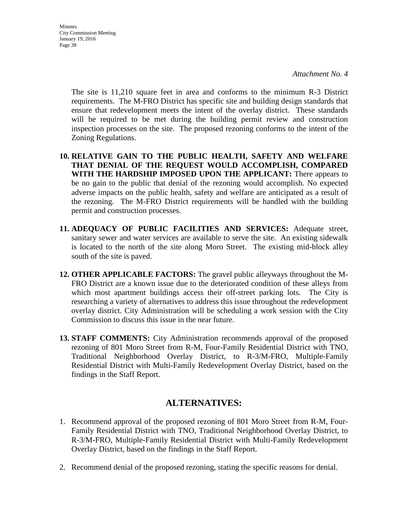The site is 11,210 square feet in area and conforms to the minimum R-3 District requirements. The M-FRO District has specific site and building design standards that ensure that redevelopment meets the intent of the overlay district. These standards will be required to be met during the building permit review and construction inspection processes on the site. The proposed rezoning conforms to the intent of the Zoning Regulations.

- **10. RELATIVE GAIN TO THE PUBLIC HEALTH, SAFETY AND WELFARE THAT DENIAL OF THE REQUEST WOULD ACCOMPLISH, COMPARED WITH THE HARDSHIP IMPOSED UPON THE APPLICANT:** There appears to be no gain to the public that denial of the rezoning would accomplish. No expected adverse impacts on the public health, safety and welfare are anticipated as a result of the rezoning. The M-FRO District requirements will be handled with the building permit and construction processes.
- **11. ADEQUACY OF PUBLIC FACILITIES AND SERVICES:** Adequate street, sanitary sewer and water services are available to serve the site. An existing sidewalk is located to the north of the site along Moro Street. The existing mid-block alley south of the site is paved.
- **12. OTHER APPLICABLE FACTORS:** The gravel public alleyways throughout the M-FRO District are a known issue due to the deteriorated condition of these alleys from which most apartment buildings access their off-street parking lots. The City is researching a variety of alternatives to address this issue throughout the redevelopment overlay district. City Administration will be scheduling a work session with the City Commission to discuss this issue in the near future.
- **13. STAFF COMMENTS:** City Administration recommends approval of the proposed rezoning of 801 Moro Street from R-M, Four-Family Residential District with TNO, Traditional Neighborhood Overlay District, to R-3/M-FRO, Multiple-Family Residential District with Multi-Family Redevelopment Overlay District, based on the findings in the Staff Report.

# **ALTERNATIVES:**

- 1. Recommend approval of the proposed rezoning of 801 Moro Street from R-M, Four-Family Residential District with TNO, Traditional Neighborhood Overlay District, to R-3/M-FRO, Multiple-Family Residential District with Multi-Family Redevelopment Overlay District, based on the findings in the Staff Report.
- 2. Recommend denial of the proposed rezoning, stating the specific reasons for denial.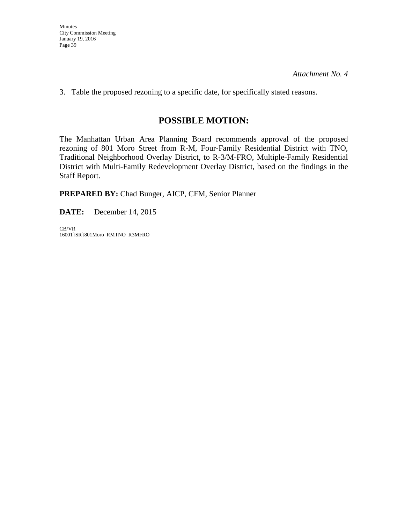3. Table the proposed rezoning to a specific date, for specifically stated reasons.

# **POSSIBLE MOTION:**

The Manhattan Urban Area Planning Board recommends approval of the proposed rezoning of 801 Moro Street from R-M, Four-Family Residential District with TNO, Traditional Neighborhood Overlay District, to R-3/M-FRO, Multiple-Family Residential District with Multi-Family Redevelopment Overlay District, based on the findings in the Staff Report.

**PREPARED BY:** Chad Bunger, AICP, CFM, Senior Planner

**DATE:** December 14, 2015

CB/VR 16001}SR}801Moro\_RMTNO\_R3MFRO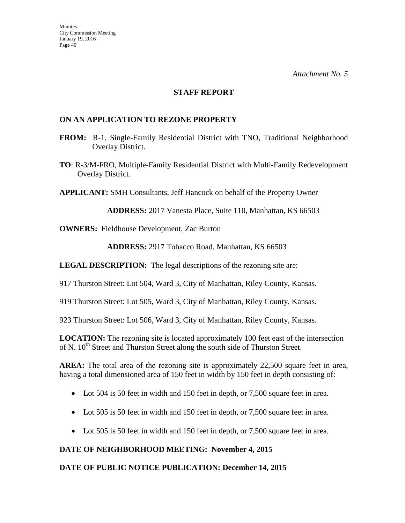#### **STAFF REPORT**

#### **ON AN APPLICATION TO REZONE PROPERTY**

- **FROM:** R-1, Single-Family Residential District with TNO, Traditional Neighborhood Overlay District.
- **TO**: R-3/M-FRO, Multiple-Family Residential District with Multi-Family Redevelopment Overlay District.

**APPLICANT:** SMH Consultants, Jeff Hancock on behalf of the Property Owner

**ADDRESS:** 2017 Vanesta Place, Suite 110, Manhattan, KS 66503

**OWNERS:** Fieldhouse Development, Zac Burton

**ADDRESS:** 2917 Tobacco Road, Manhattan, KS 66503

**LEGAL DESCRIPTION:** The legal descriptions of the rezoning site are:

917 Thurston Street: Lot 504, Ward 3, City of Manhattan, Riley County, Kansas.

919 Thurston Street: Lot 505, Ward 3, City of Manhattan, Riley County, Kansas.

923 Thurston Street: Lot 506, Ward 3, City of Manhattan, Riley County, Kansas.

**LOCATION:** The rezoning site is located approximately 100 feet east of the intersection of N. 10<sup>th</sup> Street and Thurston Street along the south side of Thurston Street.

AREA: The total area of the rezoning site is approximately 22,500 square feet in area, having a total dimensioned area of 150 feet in width by 150 feet in depth consisting of:

- Lot 504 is 50 feet in width and 150 feet in depth, or 7,500 square feet in area.
- Lot 505 is 50 feet in width and 150 feet in depth, or 7,500 square feet in area.
- Lot 505 is 50 feet in width and 150 feet in depth, or 7,500 square feet in area.

#### **DATE OF NEIGHBORHOOD MEETING: November 4, 2015**

#### **DATE OF PUBLIC NOTICE PUBLICATION: December 14, 2015**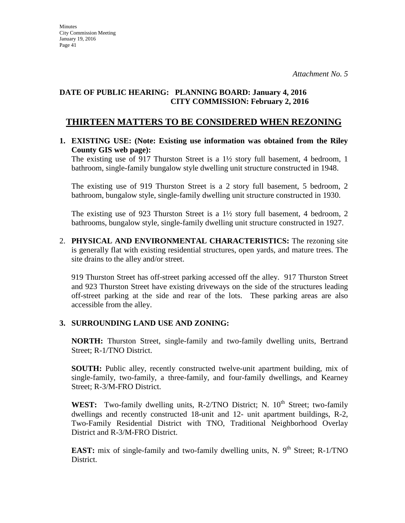## **DATE OF PUBLIC HEARING: PLANNING BOARD: January 4, 2016 CITY COMMISSION: February 2, 2016**

# **THIRTEEN MATTERS TO BE CONSIDERED WHEN REZONING**

#### **1. EXISTING USE: (Note: Existing use information was obtained from the Riley County GIS web page):**

The existing use of 917 Thurston Street is a 1½ story full basement, 4 bedroom, 1 bathroom, single-family bungalow style dwelling unit structure constructed in 1948.

The existing use of 919 Thurston Street is a 2 story full basement, 5 bedroom, 2 bathroom, bungalow style, single-family dwelling unit structure constructed in 1930.

The existing use of 923 Thurston Street is a 1½ story full basement, 4 bedroom, 2 bathrooms, bungalow style, single-family dwelling unit structure constructed in 1927.

2. **PHYSICAL AND ENVIRONMENTAL CHARACTERISTICS:** The rezoning site is generally flat with existing residential structures, open yards, and mature trees. The site drains to the alley and/or street.

919 Thurston Street has off-street parking accessed off the alley. 917 Thurston Street and 923 Thurston Street have existing driveways on the side of the structures leading off-street parking at the side and rear of the lots. These parking areas are also accessible from the alley.

## **3. SURROUNDING LAND USE AND ZONING:**

**NORTH:** Thurston Street, single-family and two-family dwelling units, Bertrand Street; R-1/TNO District.

**SOUTH:** Public alley, recently constructed twelve-unit apartment building, mix of single-family, two-family, a three-family, and four-family dwellings, and Kearney Street; R-3/M-FRO District.

**WEST:** Two-family dwelling units, R-2/TNO District; N.  $10^{th}$  Street; two-family dwellings and recently constructed 18-unit and 12- unit apartment buildings, R-2, Two-Family Residential District with TNO, Traditional Neighborhood Overlay District and R-3/M-FRO District.

**EAST:** mix of single-family and two-family dwelling units, N.  $9<sup>th</sup>$  Street; R-1/TNO District.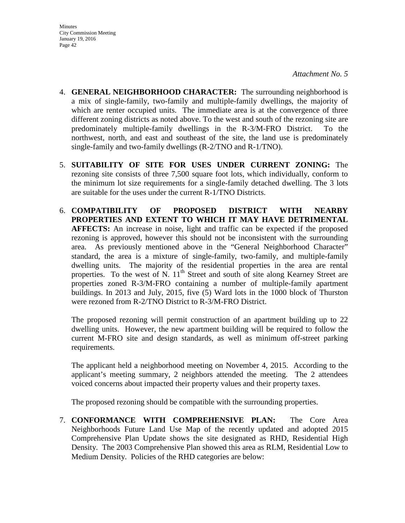- 4. **GENERAL NEIGHBORHOOD CHARACTER:** The surrounding neighborhood is a mix of single-family, two-family and multiple-family dwellings, the majority of which are renter occupied units. The immediate area is at the convergence of three different zoning districts as noted above. To the west and south of the rezoning site are predominately multiple-family dwellings in the R-3/M-FRO District. To the northwest, north, and east and southeast of the site, the land use is predominately single-family and two-family dwellings (R-2/TNO and R-1/TNO).
- 5. **SUITABILITY OF SITE FOR USES UNDER CURRENT ZONING:** The rezoning site consists of three 7,500 square foot lots, which individually, conform to the minimum lot size requirements for a single-family detached dwelling. The 3 lots are suitable for the uses under the current R-1/TNO Districts.
- 6. **COMPATIBILITY OF PROPOSED DISTRICT WITH NEARBY PROPERTIES AND EXTENT TO WHICH IT MAY HAVE DETRIMENTAL AFFECTS:** An increase in noise, light and traffic can be expected if the proposed rezoning is approved, however this should not be inconsistent with the surrounding area. As previously mentioned above in the "General Neighborhood Character" standard, the area is a mixture of single-family, two-family, and multiple-family dwelling units. The majority of the residential properties in the area are rental properties. To the west of N.  $11<sup>th</sup>$  Street and south of site along Kearney Street are properties zoned R-3/M-FRO containing a number of multiple-family apartment buildings. In 2013 and July, 2015, five (5) Ward lots in the 1000 block of Thurston were rezoned from R-2/TNO District to R-3/M-FRO District.

The proposed rezoning will permit construction of an apartment building up to 22 dwelling units. However, the new apartment building will be required to follow the current M-FRO site and design standards, as well as minimum off-street parking requirements.

The applicant held a neighborhood meeting on November 4, 2015. According to the applicant's meeting summary, 2 neighbors attended the meeting. The 2 attendees voiced concerns about impacted their property values and their property taxes.

The proposed rezoning should be compatible with the surrounding properties.

7. **CONFORMANCE WITH COMPREHENSIVE PLAN:** The Core Area Neighborhoods Future Land Use Map of the recently updated and adopted 2015 Comprehensive Plan Update shows the site designated as RHD, Residential High Density. The 2003 Comprehensive Plan showed this area as RLM, Residential Low to Medium Density. Policies of the RHD categories are below: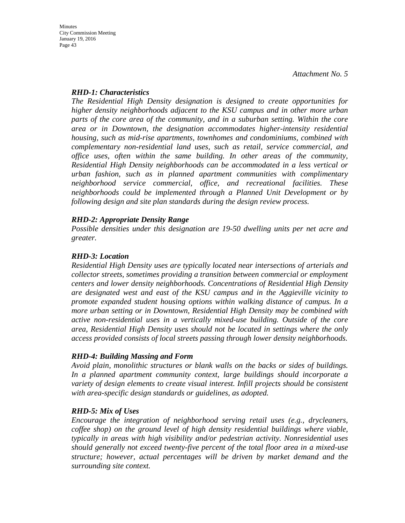#### *RHD-1: Characteristics*

*The Residential High Density designation is designed to create opportunities for higher density neighborhoods adjacent to the KSU campus and in other more urban parts of the core area of the community, and in a suburban setting. Within the core area or in Downtown, the designation accommodates higher-intensity residential housing, such as mid-rise apartments, townhomes and condominiums, combined with complementary non-residential land uses, such as retail, service commercial, and office uses, often within the same building. In other areas of the community, Residential High Density neighborhoods can be accommodated in a less vertical or urban fashion, such as in planned apartment communities with complimentary neighborhood service commercial, office, and recreational facilities. These neighborhoods could be implemented through a Planned Unit Development or by following design and site plan standards during the design review process.* 

## *RHD-2: Appropriate Density Range*

*Possible densities under this designation are 19-50 dwelling units per net acre and greater.*

## *RHD-3: Location*

*Residential High Density uses are typically located near intersections of arterials and collector streets, sometimes providing a transition between commercial or employment centers and lower density neighborhoods. Concentrations of Residential High Density are designated west and east of the KSU campus and in the Aggieville vicinity to promote expanded student housing options within walking distance of campus. In a more urban setting or in Downtown, Residential High Density may be combined with active non-residential uses in a vertically mixed-use building. Outside of the core area, Residential High Density uses should not be located in settings where the only access provided consists of local streets passing through lower density neighborhoods.* 

## *RHD-4: Building Massing and Form*

*Avoid plain, monolithic structures or blank walls on the backs or sides of buildings. In a planned apartment community context, large buildings should incorporate a variety of design elements to create visual interest. Infill projects should be consistent with area-specific design standards or guidelines, as adopted.* 

## *RHD-5: Mix of Uses*

*Encourage the integration of neighborhood serving retail uses (e.g., drycleaners, coffee shop) on the ground level of high density residential buildings where viable, typically in areas with high visibility and/or pedestrian activity. Nonresidential uses should generally not exceed twenty-five percent of the total floor area in a mixed-use structure; however, actual percentages will be driven by market demand and the surrounding site context.*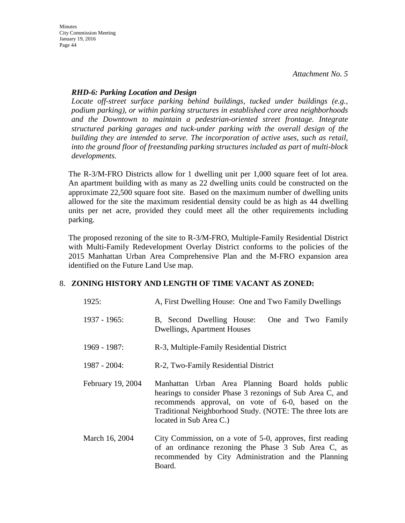**Minutes** City Commission Meeting January 19, 2016 Page 44

#### *RHD-6: Parking Location and Design*

*Locate off-street surface parking behind buildings, tucked under buildings (e.g., podium parking), or within parking structures in established core area neighborhoods and the Downtown to maintain a pedestrian-oriented street frontage. Integrate structured parking garages and tuck-under parking with the overall design of the building they are intended to serve. The incorporation of active uses, such as retail, into the ground floor of freestanding parking structures included as part of multi-block developments.*

The R-3/M-FRO Districts allow for 1 dwelling unit per 1,000 square feet of lot area. An apartment building with as many as 22 dwelling units could be constructed on the approximate 22,500 square foot site. Based on the maximum number of dwelling units allowed for the site the maximum residential density could be as high as 44 dwelling units per net acre, provided they could meet all the other requirements including parking.

The proposed rezoning of the site to R-3/M-FRO, Multiple-Family Residential District with Multi-Family Redevelopment Overlay District conforms to the policies of the 2015 Manhattan Urban Area Comprehensive Plan and the M-FRO expansion area identified on the Future Land Use map.

## 8. **ZONING HISTORY AND LENGTH OF TIME VACANT AS ZONED:**

| 1925:             | A, First Dwelling House: One and Two Family Dwellings                                                                                                                                                                                                      |  |
|-------------------|------------------------------------------------------------------------------------------------------------------------------------------------------------------------------------------------------------------------------------------------------------|--|
| $1937 - 1965$ :   | B, Second Dwelling House:<br>One and Two Family<br>Dwellings, Apartment Houses                                                                                                                                                                             |  |
| 1969 - 1987:      | R-3, Multiple-Family Residential District                                                                                                                                                                                                                  |  |
| $1987 - 2004$ :   | R-2, Two-Family Residential District                                                                                                                                                                                                                       |  |
| February 19, 2004 | Manhattan Urban Area Planning Board holds public<br>hearings to consider Phase 3 rezonings of Sub Area C, and<br>recommends approval, on vote of 6-0, based on the<br>Traditional Neighborhood Study. (NOTE: The three lots are<br>located in Sub Area C.) |  |
| March 16, 2004    | City Commission, on a vote of 5-0, approves, first reading<br>of an ordinance rezoning the Phase 3 Sub Area C, as<br>recommended by City Administration and the Planning<br>Board.                                                                         |  |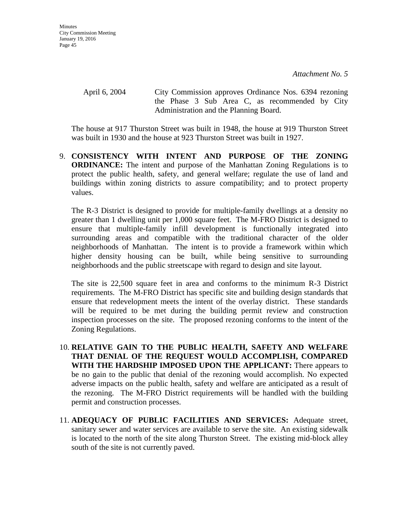April 6, 2004 City Commission approves Ordinance Nos. 6394 rezoning the Phase 3 Sub Area C, as recommended by City Administration and the Planning Board.

The house at 917 Thurston Street was built in 1948, the house at 919 Thurston Street was built in 1930 and the house at 923 Thurston Street was built in 1927.

9. **CONSISTENCY WITH INTENT AND PURPOSE OF THE ZONING ORDINANCE:** The intent and purpose of the Manhattan Zoning Regulations is to protect the public health, safety, and general welfare; regulate the use of land and buildings within zoning districts to assure compatibility; and to protect property values.

The R-3 District is designed to provide for multiple-family dwellings at a density no greater than 1 dwelling unit per 1,000 square feet. The M-FRO District is designed to ensure that multiple-family infill development is functionally integrated into surrounding areas and compatible with the traditional character of the older neighborhoods of Manhattan. The intent is to provide a framework within which higher density housing can be built, while being sensitive to surrounding neighborhoods and the public streetscape with regard to design and site layout.

The site is 22,500 square feet in area and conforms to the minimum R-3 District requirements. The M-FRO District has specific site and building design standards that ensure that redevelopment meets the intent of the overlay district. These standards will be required to be met during the building permit review and construction inspection processes on the site. The proposed rezoning conforms to the intent of the Zoning Regulations.

- 10. **RELATIVE GAIN TO THE PUBLIC HEALTH, SAFETY AND WELFARE THAT DENIAL OF THE REQUEST WOULD ACCOMPLISH, COMPARED WITH THE HARDSHIP IMPOSED UPON THE APPLICANT:** There appears to be no gain to the public that denial of the rezoning would accomplish. No expected adverse impacts on the public health, safety and welfare are anticipated as a result of the rezoning. The M-FRO District requirements will be handled with the building permit and construction processes.
- 11. **ADEQUACY OF PUBLIC FACILITIES AND SERVICES:** Adequate street, sanitary sewer and water services are available to serve the site. An existing sidewalk is located to the north of the site along Thurston Street. The existing mid-block alley south of the site is not currently paved.